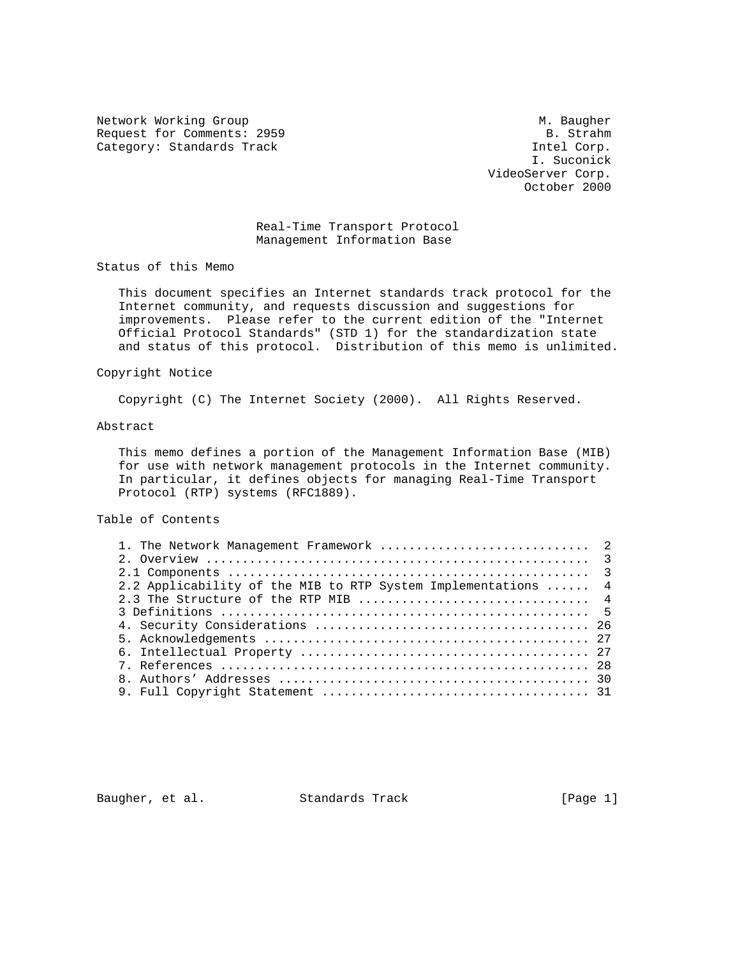Network Working Group Methods and Muslim Muslim Muslim Muslim Muslim Muslim Muslim Muslim Muslim Muslim Muslim Request for Comments: 2959 B. Strahm B. Strahm B. Strahm B. Strahm B. Strahm B. Strahm B. Strahm B. Strahm B. Strahm B. Strahm B. Strahm B. Strahm B. Strahm B. Strahm B. Strahm B. Strahm B. Strahm B. Strahm B. Strahm B. St Category: Standards Track

 I. Suconick VideoServer Corp. October 2000

## Real-Time Transport Protocol Management Information Base

Status of this Memo

 This document specifies an Internet standards track protocol for the Internet community, and requests discussion and suggestions for improvements. Please refer to the current edition of the "Internet Official Protocol Standards" (STD 1) for the standardization state and status of this protocol. Distribution of this memo is unlimited.

### Copyright Notice

Copyright (C) The Internet Society (2000). All Rights Reserved.

### Abstract

 This memo defines a portion of the Management Information Base (MIB) for use with network management protocols in the Internet community. In particular, it defines objects for managing Real-Time Transport Protocol (RTP) systems (RFC1889).

# Table of Contents

| 2.2 Applicability of the MIB to RTP System Implementations  4 |
|---------------------------------------------------------------|

Baugher, et al. Standards Track [Page 1]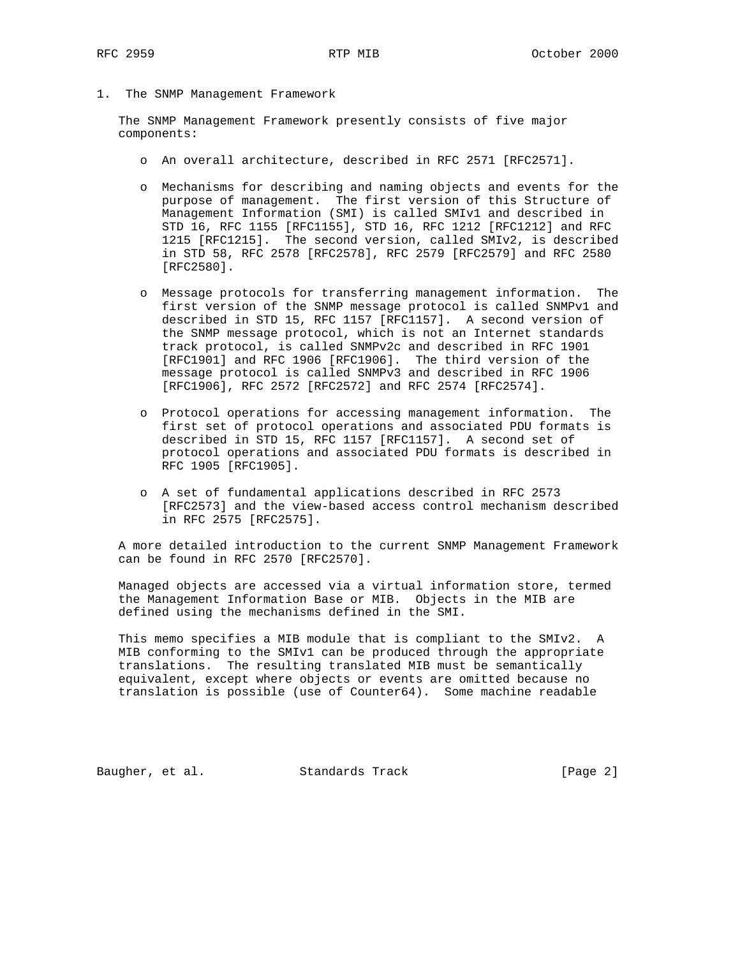1. The SNMP Management Framework

 The SNMP Management Framework presently consists of five major components:

- o An overall architecture, described in RFC 2571 [RFC2571].
- o Mechanisms for describing and naming objects and events for the purpose of management. The first version of this Structure of Management Information (SMI) is called SMIv1 and described in STD 16, RFC 1155 [RFC1155], STD 16, RFC 1212 [RFC1212] and RFC 1215 [RFC1215]. The second version, called SMIv2, is described in STD 58, RFC 2578 [RFC2578], RFC 2579 [RFC2579] and RFC 2580 [RFC2580].
- o Message protocols for transferring management information. The first version of the SNMP message protocol is called SNMPv1 and described in STD 15, RFC 1157 [RFC1157]. A second version of the SNMP message protocol, which is not an Internet standards track protocol, is called SNMPv2c and described in RFC 1901 [RFC1901] and RFC 1906 [RFC1906]. The third version of the message protocol is called SNMPv3 and described in RFC 1906 [RFC1906], RFC 2572 [RFC2572] and RFC 2574 [RFC2574].
- o Protocol operations for accessing management information. The first set of protocol operations and associated PDU formats is described in STD 15, RFC 1157 [RFC1157]. A second set of protocol operations and associated PDU formats is described in RFC 1905 [RFC1905].
- o A set of fundamental applications described in RFC 2573 [RFC2573] and the view-based access control mechanism described in RFC 2575 [RFC2575].

 A more detailed introduction to the current SNMP Management Framework can be found in RFC 2570 [RFC2570].

 Managed objects are accessed via a virtual information store, termed the Management Information Base or MIB. Objects in the MIB are defined using the mechanisms defined in the SMI.

 This memo specifies a MIB module that is compliant to the SMIv2. A MIB conforming to the SMIv1 can be produced through the appropriate translations. The resulting translated MIB must be semantically equivalent, except where objects or events are omitted because no translation is possible (use of Counter64). Some machine readable

Baugher, et al. Standards Track [Page 2]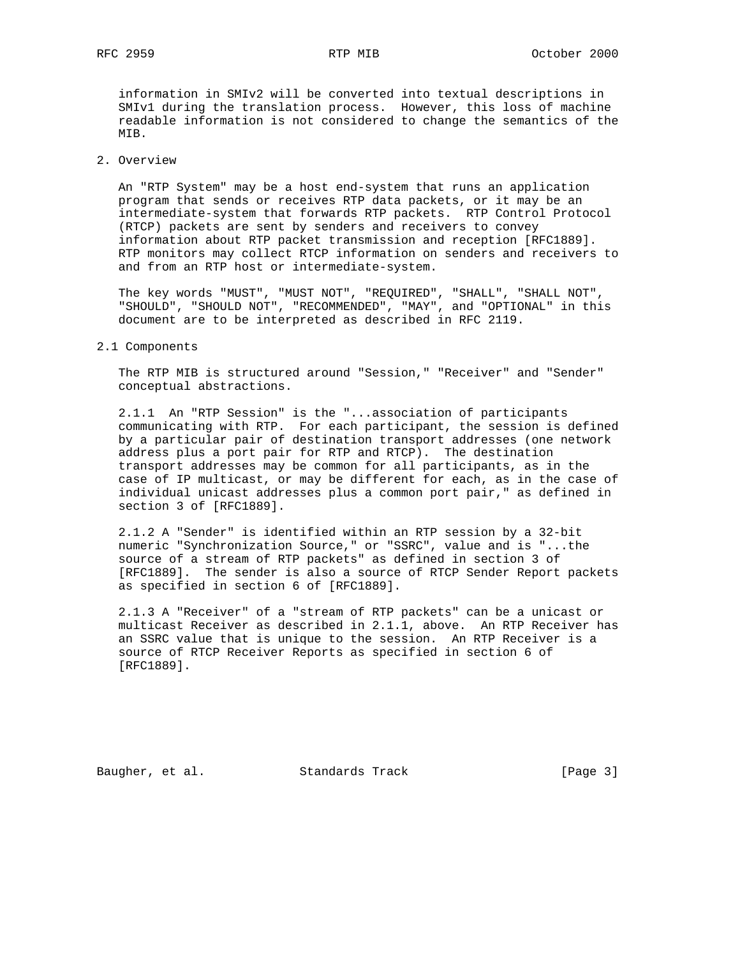information in SMIv2 will be converted into textual descriptions in SMIv1 during the translation process. However, this loss of machine readable information is not considered to change the semantics of the MIB.

# 2. Overview

 An "RTP System" may be a host end-system that runs an application program that sends or receives RTP data packets, or it may be an intermediate-system that forwards RTP packets. RTP Control Protocol (RTCP) packets are sent by senders and receivers to convey information about RTP packet transmission and reception [RFC1889]. RTP monitors may collect RTCP information on senders and receivers to and from an RTP host or intermediate-system.

 The key words "MUST", "MUST NOT", "REQUIRED", "SHALL", "SHALL NOT", "SHOULD", "SHOULD NOT", "RECOMMENDED", "MAY", and "OPTIONAL" in this document are to be interpreted as described in RFC 2119.

### 2.1 Components

 The RTP MIB is structured around "Session," "Receiver" and "Sender" conceptual abstractions.

 2.1.1 An "RTP Session" is the "...association of participants communicating with RTP. For each participant, the session is defined by a particular pair of destination transport addresses (one network address plus a port pair for RTP and RTCP). The destination transport addresses may be common for all participants, as in the case of IP multicast, or may be different for each, as in the case of individual unicast addresses plus a common port pair," as defined in section 3 of [RFC1889].

 2.1.2 A "Sender" is identified within an RTP session by a 32-bit numeric "Synchronization Source," or "SSRC", value and is "...the source of a stream of RTP packets" as defined in section 3 of [RFC1889]. The sender is also a source of RTCP Sender Report packets as specified in section 6 of [RFC1889].

 2.1.3 A "Receiver" of a "stream of RTP packets" can be a unicast or multicast Receiver as described in 2.1.1, above. An RTP Receiver has an SSRC value that is unique to the session. An RTP Receiver is a source of RTCP Receiver Reports as specified in section 6 of [RFC1889].

Baugher, et al. Standards Track [Page 3]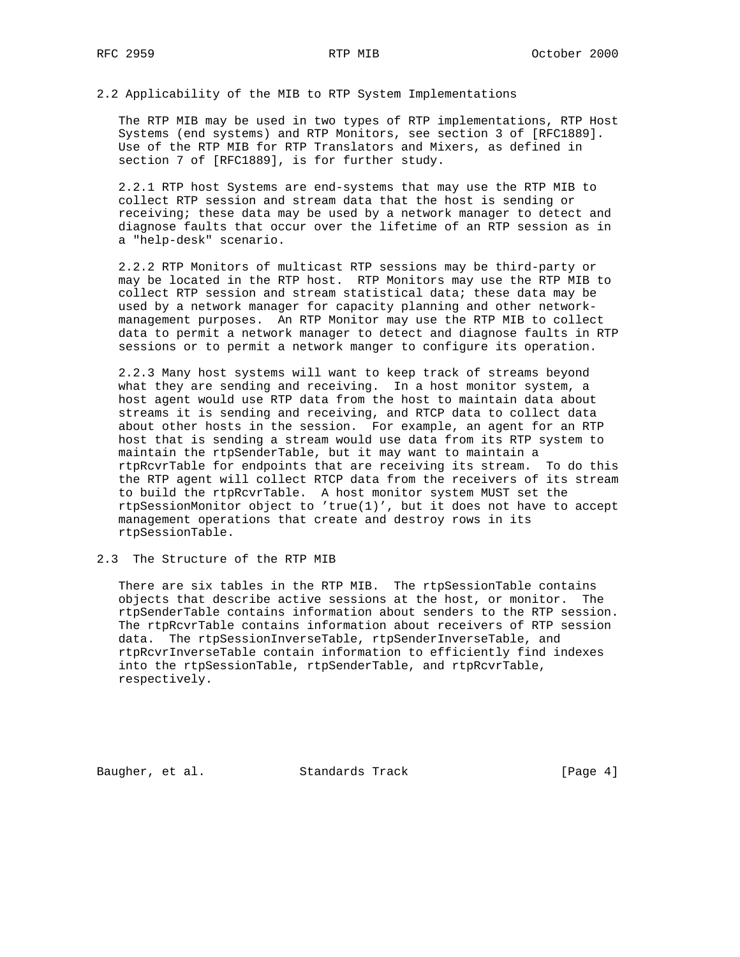# 2.2 Applicability of the MIB to RTP System Implementations

 The RTP MIB may be used in two types of RTP implementations, RTP Host Systems (end systems) and RTP Monitors, see section 3 of [RFC1889]. Use of the RTP MIB for RTP Translators and Mixers, as defined in section 7 of [RFC1889], is for further study.

 2.2.1 RTP host Systems are end-systems that may use the RTP MIB to collect RTP session and stream data that the host is sending or receiving; these data may be used by a network manager to detect and diagnose faults that occur over the lifetime of an RTP session as in a "help-desk" scenario.

 2.2.2 RTP Monitors of multicast RTP sessions may be third-party or may be located in the RTP host. RTP Monitors may use the RTP MIB to collect RTP session and stream statistical data; these data may be used by a network manager for capacity planning and other network management purposes. An RTP Monitor may use the RTP MIB to collect data to permit a network manager to detect and diagnose faults in RTP sessions or to permit a network manger to configure its operation.

 2.2.3 Many host systems will want to keep track of streams beyond what they are sending and receiving. In a host monitor system, a host agent would use RTP data from the host to maintain data about streams it is sending and receiving, and RTCP data to collect data about other hosts in the session. For example, an agent for an RTP host that is sending a stream would use data from its RTP system to maintain the rtpSenderTable, but it may want to maintain a rtpRcvrTable for endpoints that are receiving its stream. To do this the RTP agent will collect RTCP data from the receivers of its stream to build the rtpRcvrTable. A host monitor system MUST set the rtpSessionMonitor object to 'true(1)', but it does not have to accept management operations that create and destroy rows in its rtpSessionTable.

# 2.3 The Structure of the RTP MIB

 There are six tables in the RTP MIB. The rtpSessionTable contains objects that describe active sessions at the host, or monitor. The rtpSenderTable contains information about senders to the RTP session. The rtpRcvrTable contains information about receivers of RTP session data. The rtpSessionInverseTable, rtpSenderInverseTable, and rtpRcvrInverseTable contain information to efficiently find indexes into the rtpSessionTable, rtpSenderTable, and rtpRcvrTable, respectively.

Baugher, et al. Standards Track [Page 4]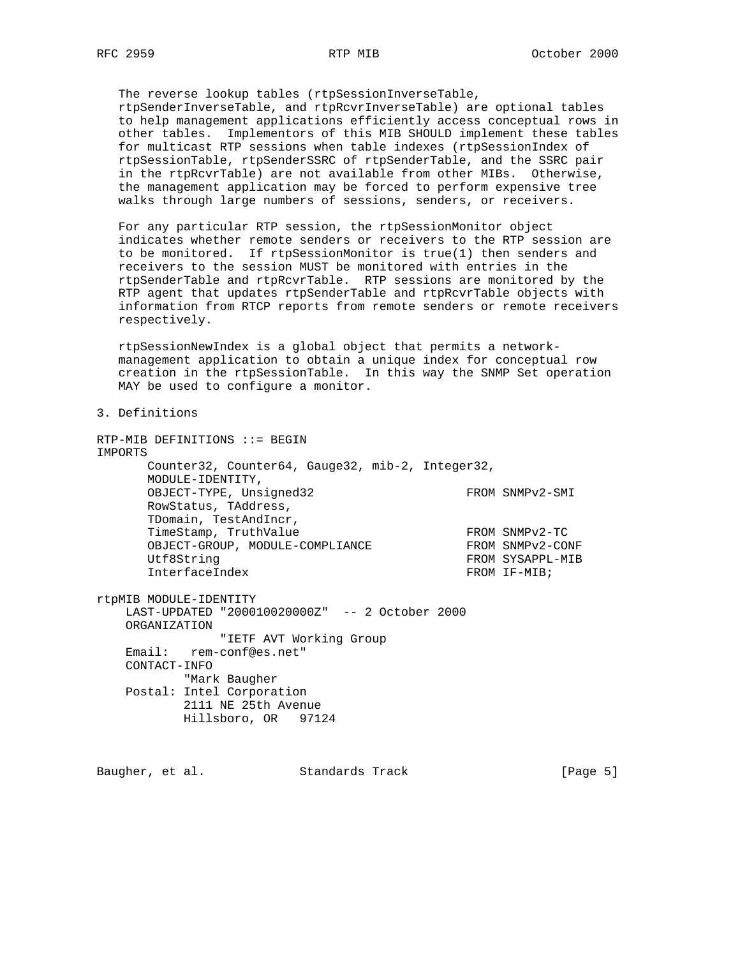The reverse lookup tables (rtpSessionInverseTable, rtpSenderInverseTable, and rtpRcvrInverseTable) are optional tables to help management applications efficiently access conceptual rows in other tables. Implementors of this MIB SHOULD implement these tables for multicast RTP sessions when table indexes (rtpSessionIndex of rtpSessionTable, rtpSenderSSRC of rtpSenderTable, and the SSRC pair in the rtpRcvrTable) are not available from other MIBs. Otherwise, the management application may be forced to perform expensive tree walks through large numbers of sessions, senders, or receivers.

 For any particular RTP session, the rtpSessionMonitor object indicates whether remote senders or receivers to the RTP session are to be monitored. If rtpSessionMonitor is true(1) then senders and receivers to the session MUST be monitored with entries in the rtpSenderTable and rtpRcvrTable. RTP sessions are monitored by the RTP agent that updates rtpSenderTable and rtpRcvrTable objects with information from RTCP reports from remote senders or remote receivers respectively.

 rtpSessionNewIndex is a global object that permits a network management application to obtain a unique index for conceptual row creation in the rtpSessionTable. In this way the SNMP Set operation MAY be used to configure a monitor.

3. Definitions

RTP-MIB DEFINITIONS ::= BEGIN IMPORTS Counter32, Counter64, Gauge32, mib-2, Integer32, MODULE-IDENTITY, OBJECT-TYPE, Unsigned32 FROM SNMPv2-SMI RowStatus, TAddress, TDomain, TestAndIncr, TimeStamp, TruthValue FROM SNMPv2-TC OBJECT-GROUP, MODULE-COMPLIANCE FROM SNMPv2-CONF Utf8String FROM SYSAPPL-MIB<br>
InterfaceIndex FROM IF-MIB; InterfaceIndex rtpMIB MODULE-IDENTITY LAST-UPDATED "200010020000Z" -- 2 October 2000 ORGANIZATION "IETF AVT Working Group Email: rem-conf@es.net" CONTACT-INFO "Mark Baugher Postal: Intel Corporation 2111 NE 25th Avenue Hillsboro, OR 97124

Baugher, et al. Standards Track [Page 5]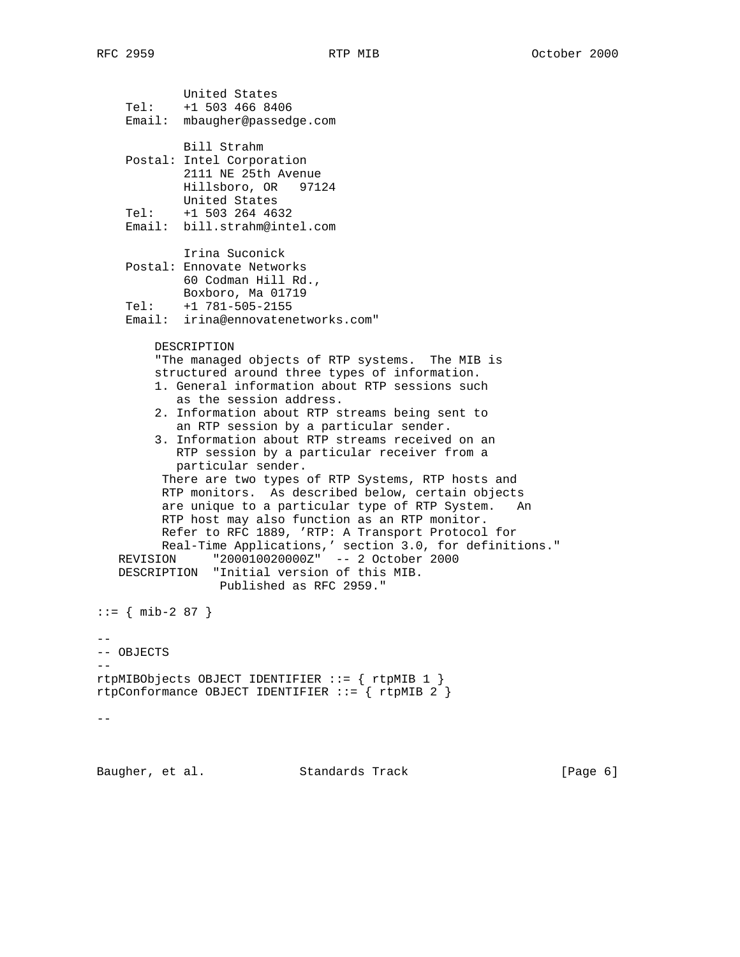United States Tel: +1 503 466 8406 Email: mbaugher@passedge.com Bill Strahm Postal: Intel Corporation 2111 NE 25th Avenue Hillsboro, OR 97124 United States Tel: +1 503 264 4632 Email: bill.strahm@intel.com Irina Suconick Postal: Ennovate Networks 60 Codman Hill Rd., Boxboro, Ma 01719 Tel: +1 781-505-2155 Email: irina@ennovatenetworks.com" DESCRIPTION "The managed objects of RTP systems. The MIB is structured around three types of information. 1. General information about RTP sessions such as the session address. 2. Information about RTP streams being sent to an RTP session by a particular sender. 3. Information about RTP streams received on an RTP session by a particular receiver from a particular sender. There are two types of RTP Systems, RTP hosts and RTP monitors. As described below, certain objects are unique to a particular type of RTP System. An RTP host may also function as an RTP monitor. Refer to RFC 1889, 'RTP: A Transport Protocol for Real-Time Applications,' section 3.0, for definitions." REVISION "200010020000Z" -- 2 October 2000 DESCRIPTION "Initial version of this MIB. Published as RFC 2959."  $::=$  { mib-2 87 } -- -- OBJECTS  $-\,$ rtpMIBObjects OBJECT IDENTIFIER ::= { rtpMIB 1 } rtpConformance OBJECT IDENTIFIER ::= { rtpMIB 2 }  $- -$ 

Baugher, et al. Standards Track [Page 6]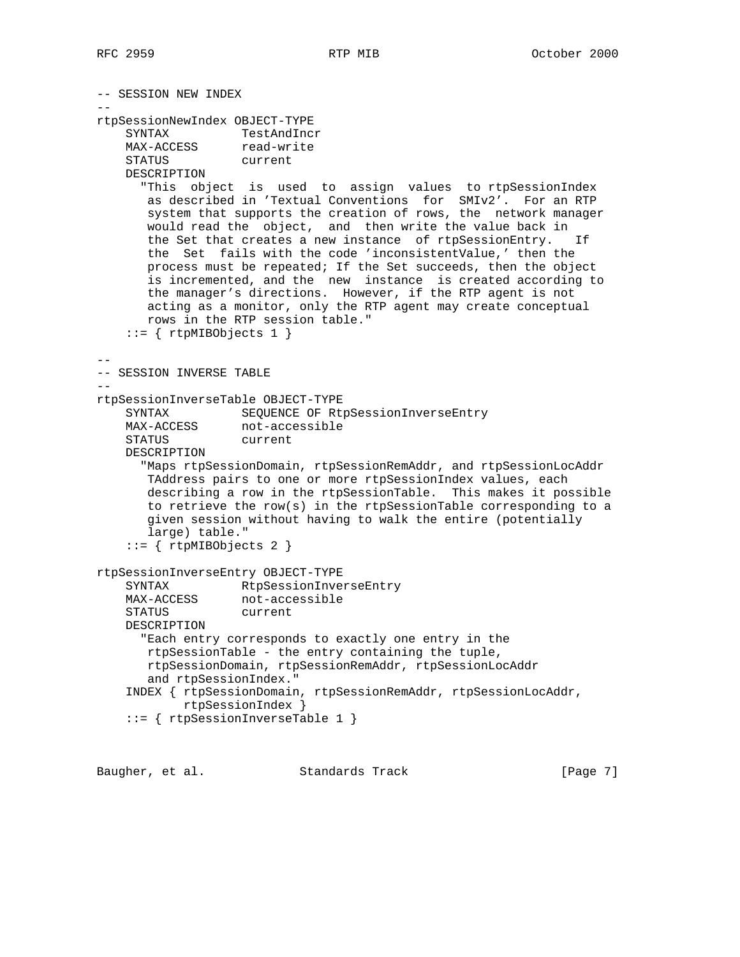```
-- SESSION NEW INDEX
--
rtpSessionNewIndex OBJECT-TYPE
    SYNTAX TestAndIncr
    MAX-ACCESS read-write<br>STATUS current
    STATUS
     DESCRIPTION
       "This object is used to assign values to rtpSessionIndex
       as described in 'Textual Conventions for SMIv2'. For an RTP
       system that supports the creation of rows, the network manager
       would read the object, and then write the value back in
       the Set that creates a new instance of rtpSessionEntry. If
       the Set fails with the code 'inconsistentValue,' then the
       process must be repeated; If the Set succeeds, then the object
        is incremented, and the new instance is created according to
       the manager's directions. However, if the RTP agent is not
       acting as a monitor, only the RTP agent may create conceptual
       rows in the RTP session table."
    ::= { rtpMIBObjects 1 }
--
-- SESSION INVERSE TABLE
-rtpSessionInverseTable OBJECT-TYPE
   SYNTAX SEQUENCE OF RtpSessionInverseEntry<br>MAX-ACCESS not-accessible
                not-accessible
     STATUS current
     DESCRIPTION
       "Maps rtpSessionDomain, rtpSessionRemAddr, and rtpSessionLocAddr
       TAddress pairs to one or more rtpSessionIndex values, each
       describing a row in the rtpSessionTable. This makes it possible
       to retrieve the row(s) in the rtpSessionTable corresponding to a
       given session without having to walk the entire (potentially
        large) table."
     ::= { rtpMIBObjects 2 }
rtpSessionInverseEntry OBJECT-TYPE
     SYNTAX RtpSessionInverseEntry
MAX-ACCESS not-accessible
 STATUS current
     DESCRIPTION
       "Each entry corresponds to exactly one entry in the
       rtpSessionTable - the entry containing the tuple,
        rtpSessionDomain, rtpSessionRemAddr, rtpSessionLocAddr
        and rtpSessionIndex."
     INDEX { rtpSessionDomain, rtpSessionRemAddr, rtpSessionLocAddr,
            rtpSessionIndex }
     ::= { rtpSessionInverseTable 1 }
```
Baugher, et al. Standards Track [Page 7]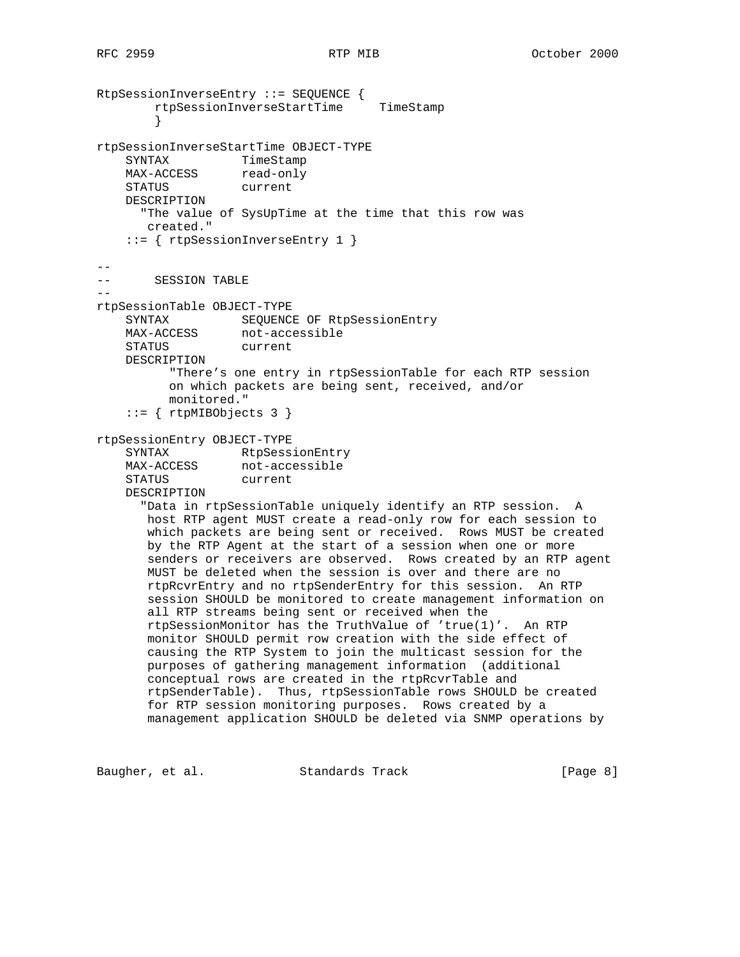```
RtpSessionInverseEntry ::= SEQUENCE {
        rtpSessionInverseStartTime TimeStamp
 }
rtpSessionInverseStartTime OBJECT-TYPE
 SYNTAX TimeStamp
MAX-ACCESS read-only
    STATUS current
    DESCRIPTION
      "The value of SysUpTime at the time that this row was
       created."
     ::= { rtpSessionInverseEntry 1 }
--- SESSION TABLE
--
rtpSessionTable OBJECT-TYPE
    SYNTAX SEQUENCE OF RtpSessionEntry
    MAX-ACCESS not-accessible
    STATUS current
    DESCRIPTION
          "There's one entry in rtpSessionTable for each RTP session
          on which packets are being sent, received, and/or
          monitored."
     ::= { rtpMIBObjects 3 }
rtpSessionEntry OBJECT-TYPE
    SYNTAX CONSIDERS RtpSessionEntry
   MAX-ACCESS not-accessible<br>STATUS current
   STATUS
    DESCRIPTION
       "Data in rtpSessionTable uniquely identify an RTP session. A
       host RTP agent MUST create a read-only row for each session to
       which packets are being sent or received. Rows MUST be created
       by the RTP Agent at the start of a session when one or more
       senders or receivers are observed. Rows created by an RTP agent
       MUST be deleted when the session is over and there are no
       rtpRcvrEntry and no rtpSenderEntry for this session. An RTP
       session SHOULD be monitored to create management information on
       all RTP streams being sent or received when the
       rtpSessionMonitor has the TruthValue of 'true(1)'. An RTP
       monitor SHOULD permit row creation with the side effect of
       causing the RTP System to join the multicast session for the
       purposes of gathering management information (additional
       conceptual rows are created in the rtpRcvrTable and
       rtpSenderTable). Thus, rtpSessionTable rows SHOULD be created
       for RTP session monitoring purposes. Rows created by a
       management application SHOULD be deleted via SNMP operations by
```
Baugher, et al. Standards Track [Page 8]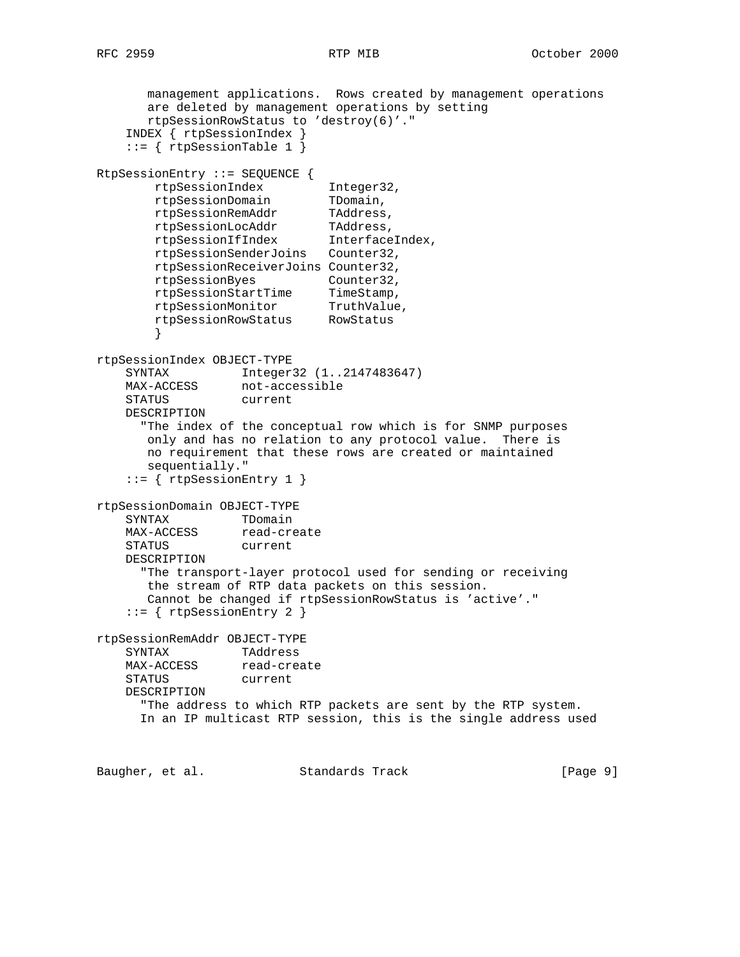management applications. Rows created by management operations are deleted by management operations by setting rtpSessionRowStatus to 'destroy(6)'." INDEX { rtpSessionIndex }  $::=$  { rtpSessionTable 1 } RtpSessionEntry ::= SEQUENCE { rtpSessionIndex Integer32, rtpSessionDomain TDomain, rtpSessionRemAddr TAddress, rtpSessionLocAddr TAddress, rtpSessionIfIndex InterfaceIndex, rtpSessionSenderJoins Counter32, rtpSessionReceiverJoins Counter32, rtpSessionByes Counter32, rtpSessionStartTime TimeStamp, rtpSessionMonitor TruthValue, rtpSessionRowStatus RowStatus } rtpSessionIndex OBJECT-TYPE SYNTAX Integer32 (1..2147483647) MAX-ACCESS not-accessible STATUS current DESCRIPTION "The index of the conceptual row which is for SNMP purposes only and has no relation to any protocol value. There is no requirement that these rows are created or maintained sequentially." ::= { rtpSessionEntry 1 } rtpSessionDomain OBJECT-TYPE SYNTAX TDomain MAX-ACCESS read-create SINIAA<br>MAX-ACCESS read-cre<br>STATUS current DESCRIPTION "The transport-layer protocol used for sending or receiving the stream of RTP data packets on this session. Cannot be changed if rtpSessionRowStatus is 'active'." ::= { rtpSessionEntry 2 } rtpSessionRemAddr OBJECT-TYPE SYNTAX TAddress MAX-ACCESS read-create STATUS current DESCRIPTION "The address to which RTP packets are sent by the RTP system. In an IP multicast RTP session, this is the single address used

Baugher, et al. Standards Track [Page 9]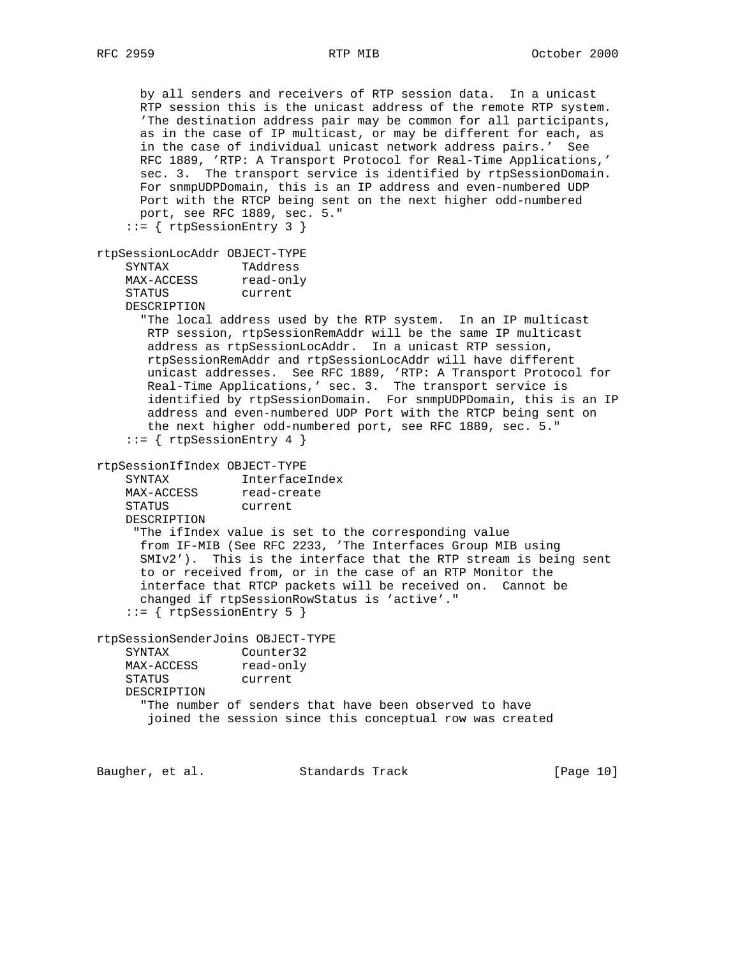by all senders and receivers of RTP session data. In a unicast RTP session this is the unicast address of the remote RTP system. 'The destination address pair may be common for all participants, as in the case of IP multicast, or may be different for each, as in the case of individual unicast network address pairs.' See RFC 1889, 'RTP: A Transport Protocol for Real-Time Applications,' sec. 3. The transport service is identified by rtpSessionDomain. For snmpUDPDomain, this is an IP address and even-numbered UDP Port with the RTCP being sent on the next higher odd-numbered port, see RFC 1889, sec. 5." ::= { rtpSessionEntry 3 } rtpSessionLocAddr OBJECT-TYPE SYNTAX TAddress SINIAM<br>MAX-ACCESS STATUS current DESCRIPTION "The local address used by the RTP system. In an IP multicast RTP session, rtpSessionRemAddr will be the same IP multicast address as rtpSessionLocAddr. In a unicast RTP session, rtpSessionRemAddr and rtpSessionLocAddr will have different unicast addresses. See RFC 1889, 'RTP: A Transport Protocol for Real-Time Applications,' sec. 3. The transport service is identified by rtpSessionDomain. For snmpUDPDomain, this is an IP address and even-numbered UDP Port with the RTCP being sent on the next higher odd-numbered port, see RFC 1889, sec. 5."  $::=$  { rtpSessionEntry 4 } rtpSessionIfIndex OBJECT-TYPE SYNTAX InterfaceIndex<br>MAX-ACCESS read-create read-create STATUS current DESCRIPTION "The ifIndex value is set to the corresponding value from IF-MIB (See RFC 2233, 'The Interfaces Group MIB using SMIv2'). This is the interface that the RTP stream is being sent to or received from, or in the case of an RTP Monitor the interface that RTCP packets will be received on. Cannot be changed if rtpSessionRowStatus is 'active'." ::= { rtpSessionEntry 5 } rtpSessionSenderJoins OBJECT-TYPE SYNTAX Counter32 MAX-ACCESS read-only STATUS current DESCRIPTION "The number of senders that have been observed to have joined the session since this conceptual row was created

Baugher, et al. Standards Track [Page 10]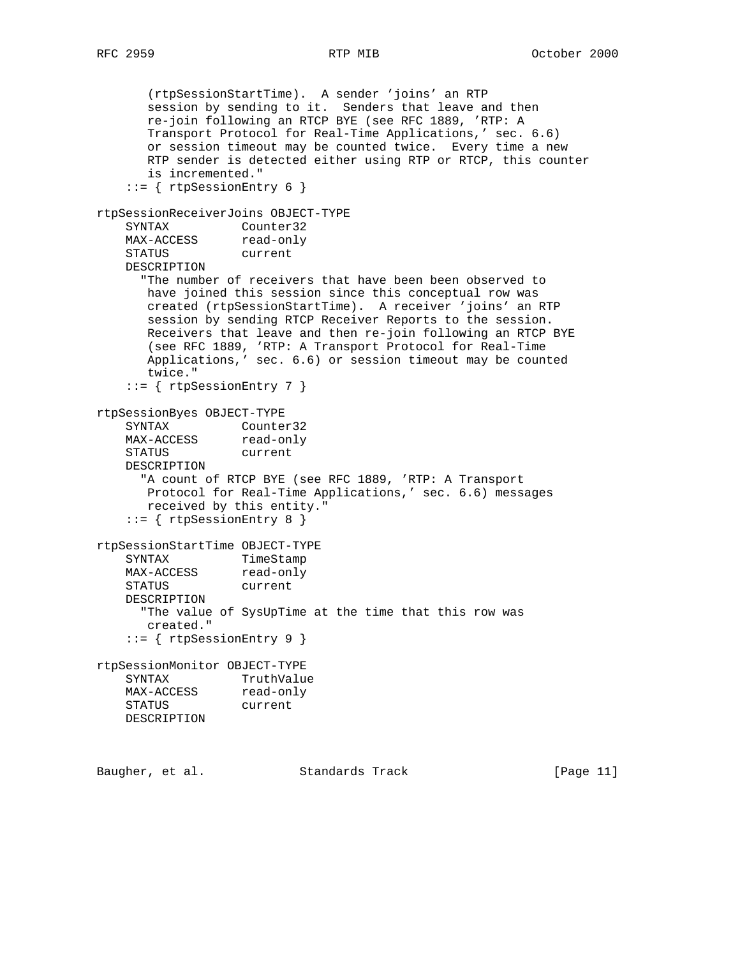```
 (rtpSessionStartTime). A sender 'joins' an RTP
       session by sending to it. Senders that leave and then
       re-join following an RTCP BYE (see RFC 1889, 'RTP: A
       Transport Protocol for Real-Time Applications,' sec. 6.6)
       or session timeout may be counted twice. Every time a new
       RTP sender is detected either using RTP or RTCP, this counter
       is incremented."
    ::= { rtpSessionEntry 6 }
rtpSessionReceiverJoins OBJECT-TYPE
   SYNTAX Counter32<br>MAX-ACCESS read-only
   SYNIAA<br>MAX-ACCESS
    STATUS current
    DESCRIPTION
      "The number of receivers that have been been observed to
       have joined this session since this conceptual row was
       created (rtpSessionStartTime). A receiver 'joins' an RTP
       session by sending RTCP Receiver Reports to the session.
       Receivers that leave and then re-join following an RTCP BYE
       (see RFC 1889, 'RTP: A Transport Protocol for Real-Time
       Applications,' sec. 6.6) or session timeout may be counted
       twice."
     ::= { rtpSessionEntry 7 }
rtpSessionByes OBJECT-TYPE
    SYNTAX Counter32
   MAX-ACCESS read-only
    STATUS current
    DESCRIPTION
      "A count of RTCP BYE (see RFC 1889, 'RTP: A Transport
       Protocol for Real-Time Applications,' sec. 6.6) messages
       received by this entity."
     ::= { rtpSessionEntry 8 }
rtpSessionStartTime OBJECT-TYPE
   SYNTAX TimeStamp
MAX-ACCESS read-only
 STATUS current
    DESCRIPTION
      "The value of SysUpTime at the time that this row was
       created."
     ::= { rtpSessionEntry 9 }
rtpSessionMonitor OBJECT-TYPE
    SYNTAX TruthValue
   MAX-ACCESS read-only
    STATUS current
    DESCRIPTION
```
Baugher, et al. Standards Track [Page 11]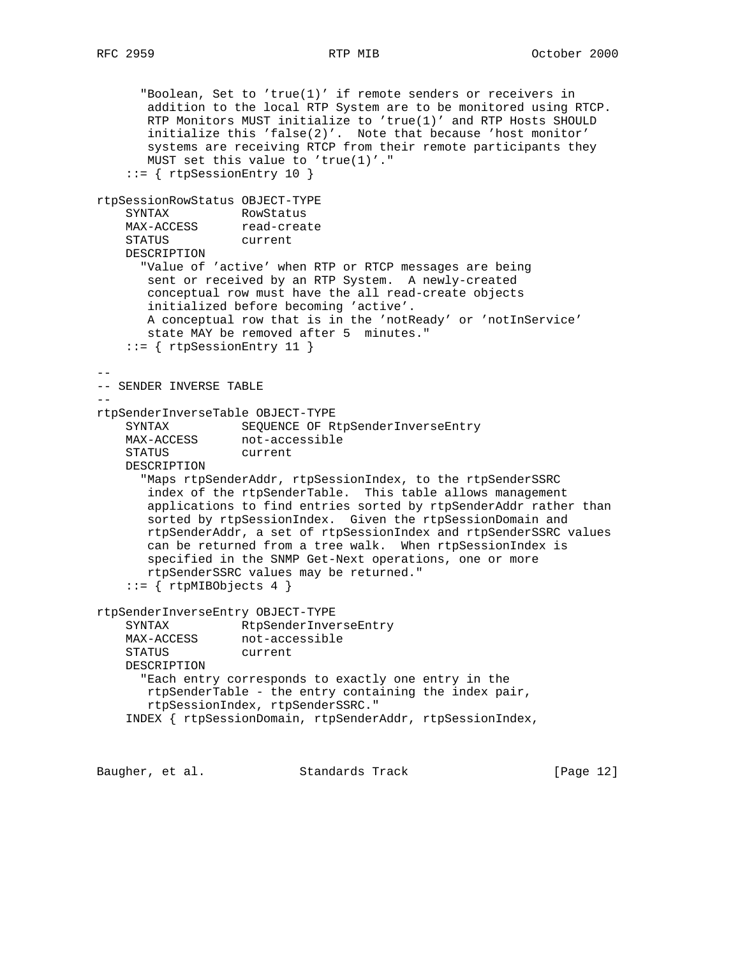```
 "Boolean, Set to 'true(1)' if remote senders or receivers in
       addition to the local RTP System are to be monitored using RTCP.
       RTP Monitors MUST initialize to 'true(1)' and RTP Hosts SHOULD
       initialize this 'false(2)'. Note that because 'host monitor'
       systems are receiving RTCP from their remote participants they
       MUST set this value to 'true(1)'."
     ::= { rtpSessionEntry 10 }
rtpSessionRowStatus OBJECT-TYPE
    SYNTAX RowStatus
MAX-ACCESS read-create
 STATUS current
    DESCRIPTION
      "Value of 'active' when RTP or RTCP messages are being
       sent or received by an RTP System. A newly-created
       conceptual row must have the all read-create objects
       initialized before becoming 'active'.
       A conceptual row that is in the 'notReady' or 'notInService'
       state MAY be removed after 5 minutes."
     ::= { rtpSessionEntry 11 }
--
-- SENDER INVERSE TABLE
--
rtpSenderInverseTable OBJECT-TYPE
 SYNTAX SEQUENCE OF RtpSenderInverseEntry
MAX-ACCESS not-accessible
    STATUS current
    DESCRIPTION
       "Maps rtpSenderAddr, rtpSessionIndex, to the rtpSenderSSRC
       index of the rtpSenderTable. This table allows management
       applications to find entries sorted by rtpSenderAddr rather than
       sorted by rtpSessionIndex. Given the rtpSessionDomain and
       rtpSenderAddr, a set of rtpSessionIndex and rtpSenderSSRC values
       can be returned from a tree walk. When rtpSessionIndex is
       specified in the SNMP Get-Next operations, one or more
       rtpSenderSSRC values may be returned."
    ::= { rtpMIBObjects 4 }
rtpSenderInverseEntry OBJECT-TYPE
    SYNTAX RtpSenderInverseEntry
   MAX-ACCESS not-accessible
    STATUS current
    DESCRIPTION
      "Each entry corresponds to exactly one entry in the
       rtpSenderTable - the entry containing the index pair,
       rtpSessionIndex, rtpSenderSSRC."
     INDEX { rtpSessionDomain, rtpSenderAddr, rtpSessionIndex,
```
Baugher, et al. Standards Track [Page 12]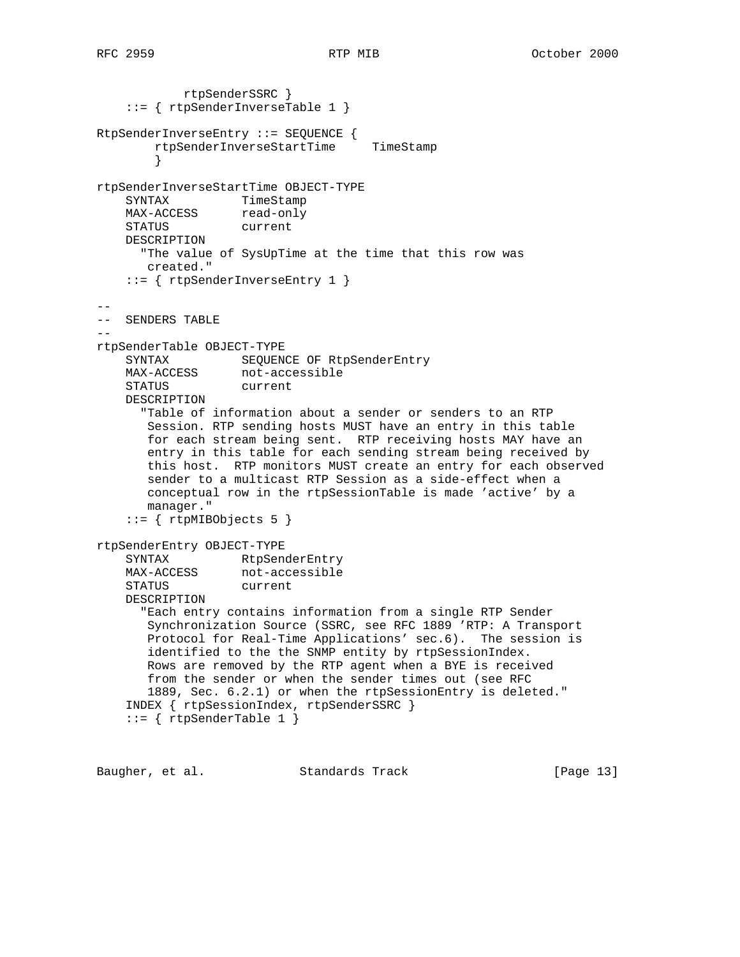```
 rtpSenderSSRC }
     ::= { rtpSenderInverseTable 1 }
RtpSenderInverseEntry ::= SEQUENCE {
         rtpSenderInverseStartTime TimeStamp
         }
rtpSenderInverseStartTime OBJECT-TYPE
 SYNTAX TimeStamp
MAX-ACCESS read-only
 STATUS current
     DESCRIPTION
      "The value of SysUpTime at the time that this row was
       created."
     ::= { rtpSenderInverseEntry 1 }
--
-- SENDERS TABLE
-rtpSenderTable OBJECT-TYPE
    SYNTAX SEQUENCE OF RtpSenderEntry
    MAX-ACCESS not-accessible
    STATUS current
    DESCRIPTION
       "Table of information about a sender or senders to an RTP
       Session. RTP sending hosts MUST have an entry in this table
       for each stream being sent. RTP receiving hosts MAY have an
       entry in this table for each sending stream being received by
       this host. RTP monitors MUST create an entry for each observed
       sender to a multicast RTP Session as a side-effect when a
       conceptual row in the rtpSessionTable is made 'active' by a
       manager."
    ::= { rtpMIBObjects 5 }
rtpSenderEntry OBJECT-TYPE
    SYNTAX RtpSenderEntry<br>MAX-ACCESS not-accessible
   SYNIAA<br>MAX-ACCESS
     STATUS current
     DESCRIPTION
       "Each entry contains information from a single RTP Sender
       Synchronization Source (SSRC, see RFC 1889 'RTP: A Transport
       Protocol for Real-Time Applications' sec.6). The session is
       identified to the the SNMP entity by rtpSessionIndex.
       Rows are removed by the RTP agent when a BYE is received
       from the sender or when the sender times out (see RFC
       1889, Sec. 6.2.1) or when the rtpSessionEntry is deleted."
     INDEX { rtpSessionIndex, rtpSenderSSRC }
     ::= { rtpSenderTable 1 }
```
Baugher, et al. Standards Track [Page 13]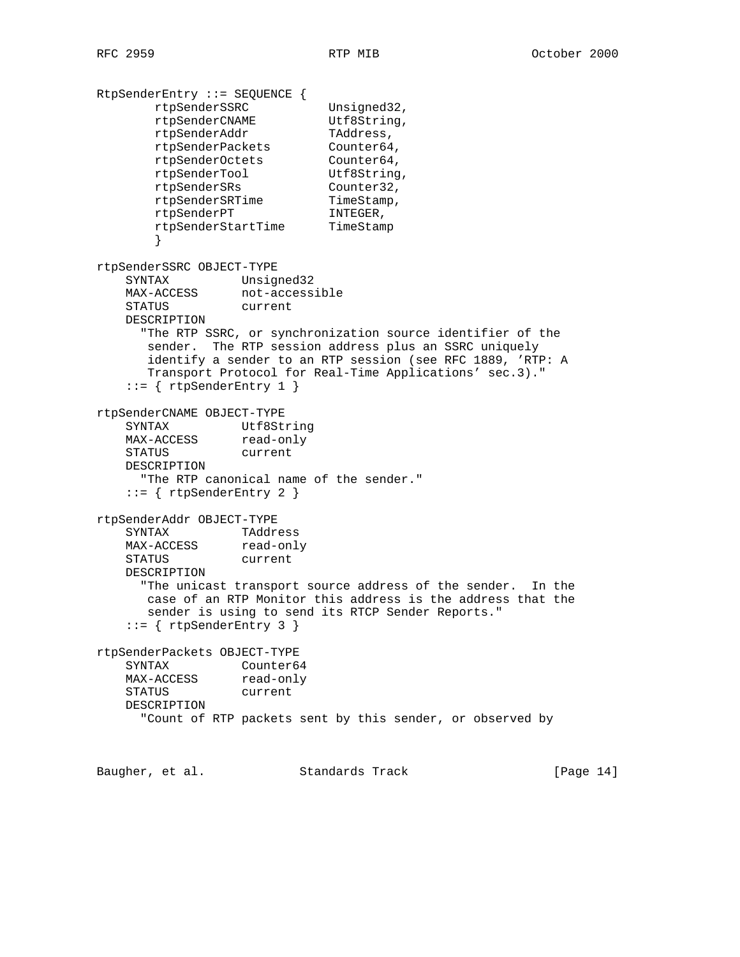```
RtpSenderEntry ::= SEQUENCE {
 rtpSenderSSRC Unsigned32,
 rtpSenderCNAME Utf8String,
rtpSenderAddr TAddress,
 rtpSenderPackets Counter64,
 rtpSenderOctets Counter64,
 rtpSenderTool Utf8String,
 rtpSenderSRs Counter32,
rtpSenderSRTime TimeStamp,
rtpSenderPT INTEGER,
 rtpSenderStartTime TimeStamp
 }
rtpSenderSSRC OBJECT-TYPE
    SYNTAX Unsigned32
MAX-ACCESS not-accessible
 STATUS current
    DESCRIPTION
     "The RTP SSRC, or synchronization source identifier of the
      sender. The RTP session address plus an SSRC uniquely
      identify a sender to an RTP session (see RFC 1889, 'RTP: A
      Transport Protocol for Real-Time Applications' sec.3)."
   ::= { rtpSenderEntry 1 }
rtpSenderCNAME OBJECT-TYPE
 SYNTAX Utf8String
MAX-ACCESS read-only
    STATUS current
    DESCRIPTION
     "The RTP canonical name of the sender."
    ::= { rtpSenderEntry 2 }
rtpSenderAddr OBJECT-TYPE
    SYNTAX TAddress
MAX-ACCESS read-only
 STATUS current
    DESCRIPTION
     "The unicast transport source address of the sender. In the
      case of an RTP Monitor this address is the address that the
      sender is using to send its RTCP Sender Reports."
    ::= { rtpSenderEntry 3 }
rtpSenderPackets OBJECT-TYPE
    SYNTAX Counter64
MAX-ACCESS read-only
 STATUS current
    DESCRIPTION
      "Count of RTP packets sent by this sender, or observed by
Baugher, et al. Standards Track [Page 14]
```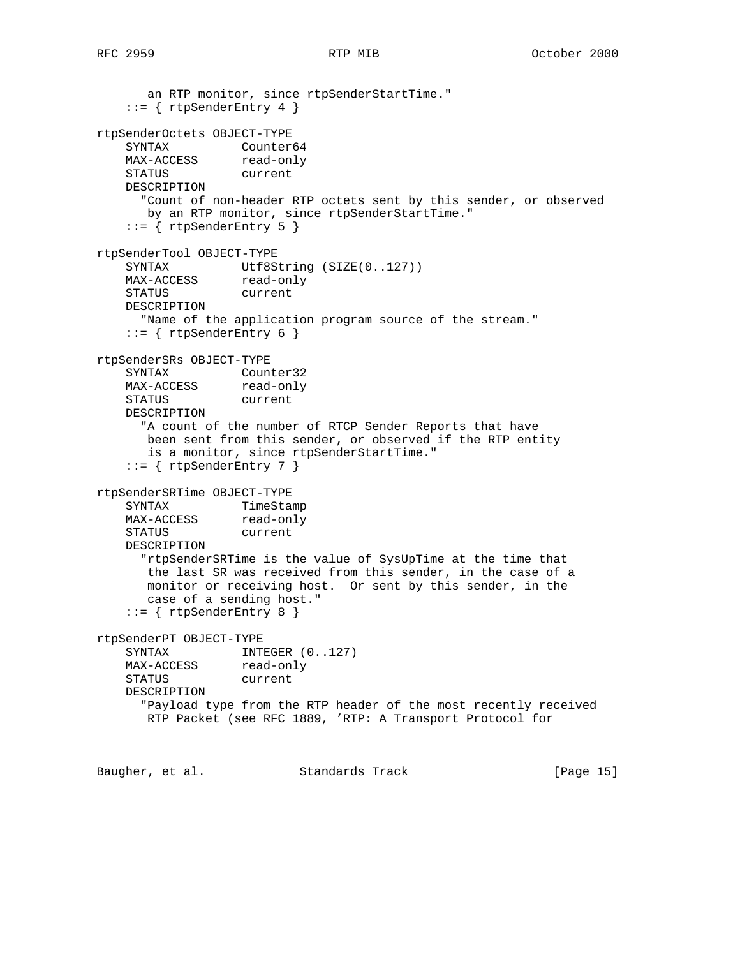```
 an RTP monitor, since rtpSenderStartTime."
   ::= { rtpSenderEntry 4 }
rtpSenderOctets OBJECT-TYPE
SYNTAX Counter64
MAX-ACCESS read-only
    STATUS current
    DESCRIPTION
      "Count of non-header RTP octets sent by this sender, or observed
     by an RTP monitor, since rtpSenderStartTime."
   ::= { rtpSenderEntry 5 }
rtpSenderTool OBJECT-TYPE
   SYNTAX Utf8String (SIZE(0..127))
   SINIAA<br>MAX-ACCESS read-only
    STATUS current
    DESCRIPTION
      "Name of the application program source of the stream."
   ::= { rtpSenderEntry 6 }
rtpSenderSRs OBJECT-TYPE
    SYNTAX Counter32
   MAX-ACCESS read-only
    STATUS current
    DESCRIPTION
      "A count of the number of RTCP Sender Reports that have
       been sent from this sender, or observed if the RTP entity
       is a monitor, since rtpSenderStartTime."
   ::= { rtpSenderEntry 7 }
rtpSenderSRTime OBJECT-TYPE
    SYNTAX TimeStamp
   MAX-ACCESS read-only
    STATUS current
    DESCRIPTION
      "rtpSenderSRTime is the value of SysUpTime at the time that
       the last SR was received from this sender, in the case of a
       monitor or receiving host. Or sent by this sender, in the
       case of a sending host."
    ::= { rtpSenderEntry 8 }
rtpSenderPT OBJECT-TYPE
   SYNTAX INTEGER (0..127)MAX-ACCESS read-only
    STATUS current
    DESCRIPTION
      "Payload type from the RTP header of the most recently received
      RTP Packet (see RFC 1889, 'RTP: A Transport Protocol for
```
Baugher, et al. Standards Track [Page 15]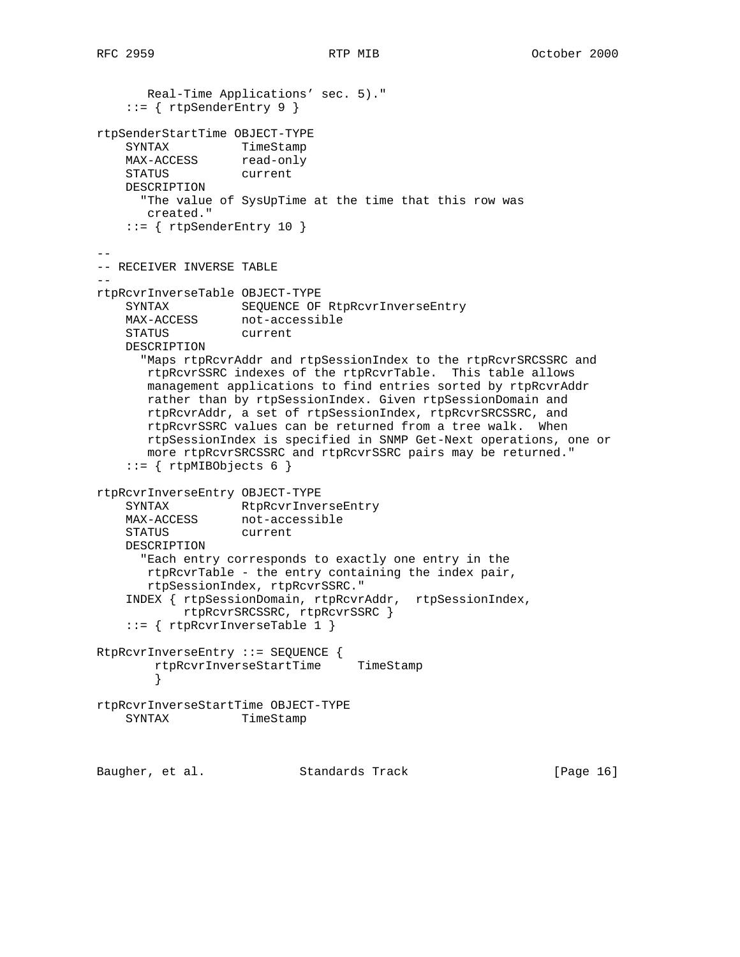```
 Real-Time Applications' sec. 5)."
    ::= { rtpSenderEntry 9 }
rtpSenderStartTime OBJECT-TYPE
SYNTAX TimeStamp
MAX-ACCESS read-only
    STATUS current
    DESCRIPTION
      "The value of SysUpTime at the time that this row was
       created."
   ::= { rtpSenderEntry 10 }
--
-- RECEIVER INVERSE TABLE
--
rtpRcvrInverseTable OBJECT-TYPE
    SYNTAX SEQUENCE OF RtpRcvrInverseEntry
MAX-ACCESS not-accessible
 STATUS current
    DESCRIPTION
      "Maps rtpRcvrAddr and rtpSessionIndex to the rtpRcvrSRCSSRC and
       rtpRcvrSSRC indexes of the rtpRcvrTable. This table allows
       management applications to find entries sorted by rtpRcvrAddr
       rather than by rtpSessionIndex. Given rtpSessionDomain and
       rtpRcvrAddr, a set of rtpSessionIndex, rtpRcvrSRCSSRC, and
       rtpRcvrSSRC values can be returned from a tree walk. When
       rtpSessionIndex is specified in SNMP Get-Next operations, one or
       more rtpRcvrSRCSSRC and rtpRcvrSSRC pairs may be returned."
    ::= { rtpMIBObjects 6 }
rtpRcvrInverseEntry OBJECT-TYPE
    SYNTAX RtpRcvrInverseEntry
                 not-accessible
   MAX-ACCESS not-access<br>STATUS current
    DESCRIPTION
      "Each entry corresponds to exactly one entry in the
       rtpRcvrTable - the entry containing the index pair,
       rtpSessionIndex, rtpRcvrSSRC."
     INDEX { rtpSessionDomain, rtpRcvrAddr, rtpSessionIndex,
            rtpRcvrSRCSSRC, rtpRcvrSSRC }
     ::= { rtpRcvrInverseTable 1 }
RtpRcvrInverseEntry ::= SEQUENCE {
        rtpRcvrInverseStartTime TimeStamp
        }
rtpRcvrInverseStartTime OBJECT-TYPE
    SYNTAX TimeStamp
Baugher, et al. Standards Track [Page 16]
```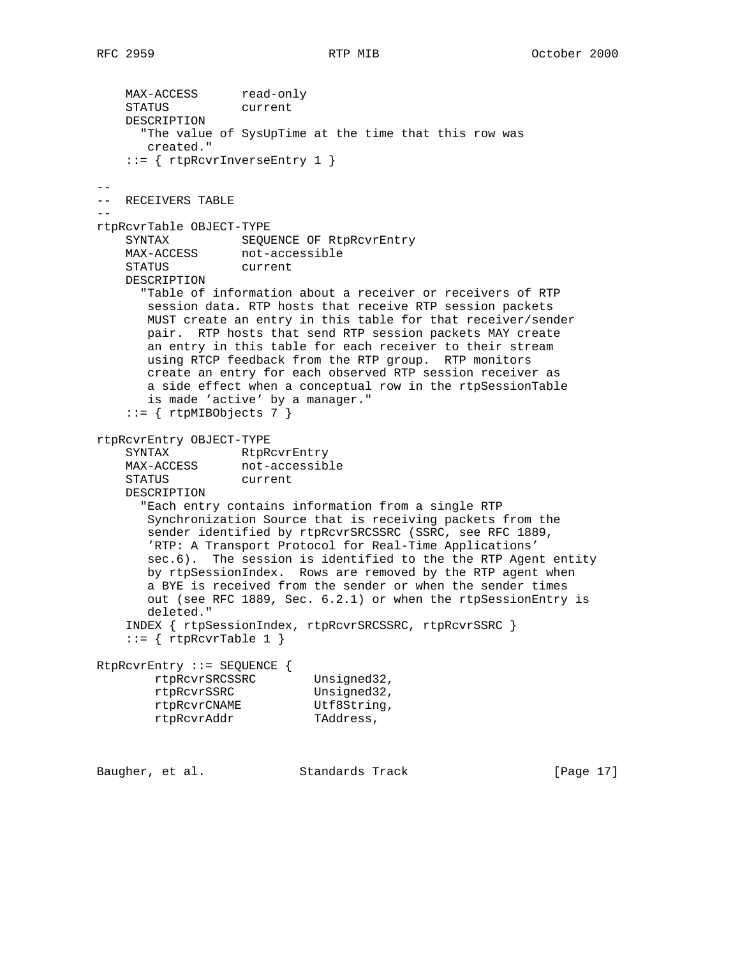MAX-ACCESS read-only STATUS current DESCRIPTION "The value of SysUpTime at the time that this row was created." ::= { rtpRcvrInverseEntry 1 } -- -- RECEIVERS TABLE - rtpRcvrTable OBJECT-TYPE SYNTAX SEQUENCE OF RtpRcvrEntry MAX-ACCESS not-accessible STATUS current DESCRIPTION "Table of information about a receiver or receivers of RTP session data. RTP hosts that receive RTP session packets MUST create an entry in this table for that receiver/sender pair. RTP hosts that send RTP session packets MAY create an entry in this table for each receiver to their stream using RTCP feedback from the RTP group. RTP monitors create an entry for each observed RTP session receiver as a side effect when a conceptual row in the rtpSessionTable is made 'active' by a manager."  $::=$  { rtpMIBObjects 7 } rtpRcvrEntry OBJECT-TYPE SYNTAX RtpRcvrEntry MAX-ACCESS not-accessible MAX-ACCESS not-acce<br>STATUS current DESCRIPTION "Each entry contains information from a single RTP Synchronization Source that is receiving packets from the sender identified by rtpRcvrSRCSSRC (SSRC, see RFC 1889, 'RTP: A Transport Protocol for Real-Time Applications' sec.6). The session is identified to the the RTP Agent entity by rtpSessionIndex. Rows are removed by the RTP agent when a BYE is received from the sender or when the sender times out (see RFC 1889, Sec. 6.2.1) or when the rtpSessionEntry is deleted." INDEX { rtpSessionIndex, rtpRcvrSRCSSRC, rtpRcvrSSRC }  $::=$  { rtpRcvrTable 1 } RtpRcvrEntry ::= SEQUENCE { rtpRcvrSRCSSRC Unsigned32, rtpRcvrSSRC Unsigned32, rtpRcvrCNAME Utf8String, rtpRcvrAddr TAddress,

Baugher, et al. Standards Track [Page 17]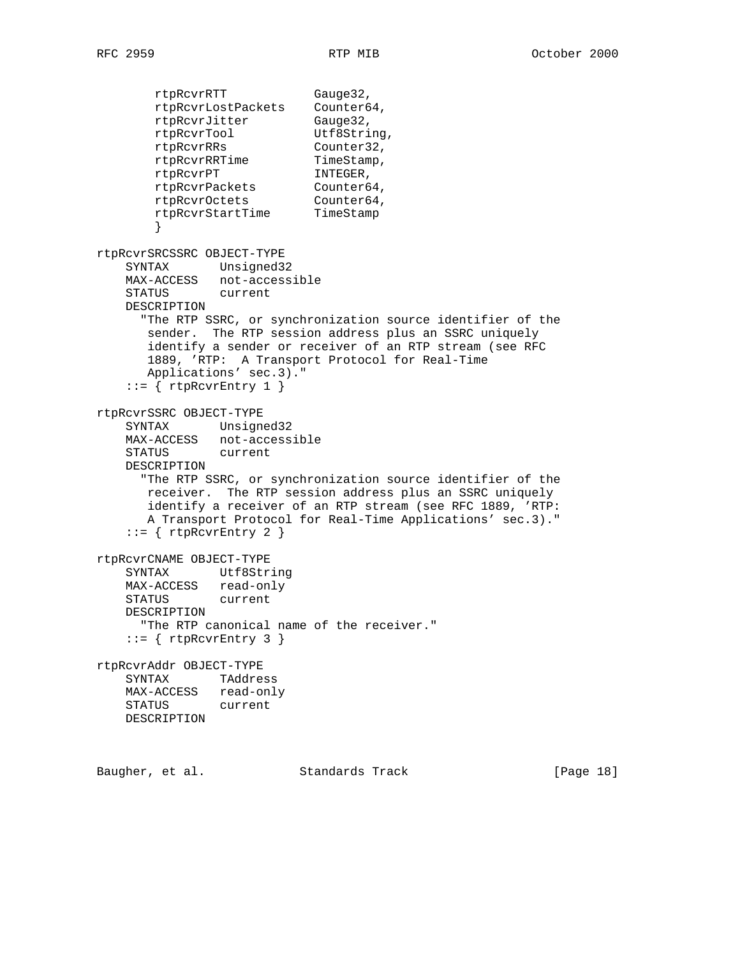rtpRcvrRTT Gauge32, rtpRcvrLostPackets Counter64, rtpRcvrJitter Gauge32, rtpRcvrTool Utf8String, rtpRcvrRRs Counter32, rtpRcvrRRTime TimeStamp, rtpRcvrPT INTEGER, rtpRcvrPackets Counter64, rtpRcvrOctets Counter64, rtpRcvrStartTime TimeStamp } rtpRcvrSRCSSRC OBJECT-TYPE SYNTAX Unsigned32 MAX-ACCESS not-accessible STATUS current DESCRIPTION "The RTP SSRC, or synchronization source identifier of the sender. The RTP session address plus an SSRC uniquely identify a sender or receiver of an RTP stream (see RFC 1889, 'RTP: A Transport Protocol for Real-Time Applications' sec.3)."  $::=$  { rtpRcvrEntry 1 } rtpRcvrSSRC OBJECT-TYPE SYNTAX Unsigned32 MAX-ACCESS not-accessible STATUS current DESCRIPTION "The RTP SSRC, or synchronization source identifier of the receiver. The RTP session address plus an SSRC uniquely identify a receiver of an RTP stream (see RFC 1889, 'RTP: A Transport Protocol for Real-Time Applications' sec.3)."  $::=$  { rtpRcvrEntry 2 } rtpRcvrCNAME OBJECT-TYPE SYNTAX Utf8String MAX-ACCESS read-only STATUS current DESCRIPTION "The RTP canonical name of the receiver."  $::=$  { rtpRcvrEntry 3 } rtpRcvrAddr OBJECT-TYPE SYNTAX TAddress MAX-ACCESS read-only STATUS current DESCRIPTION

Baugher, et al. Standards Track [Page 18]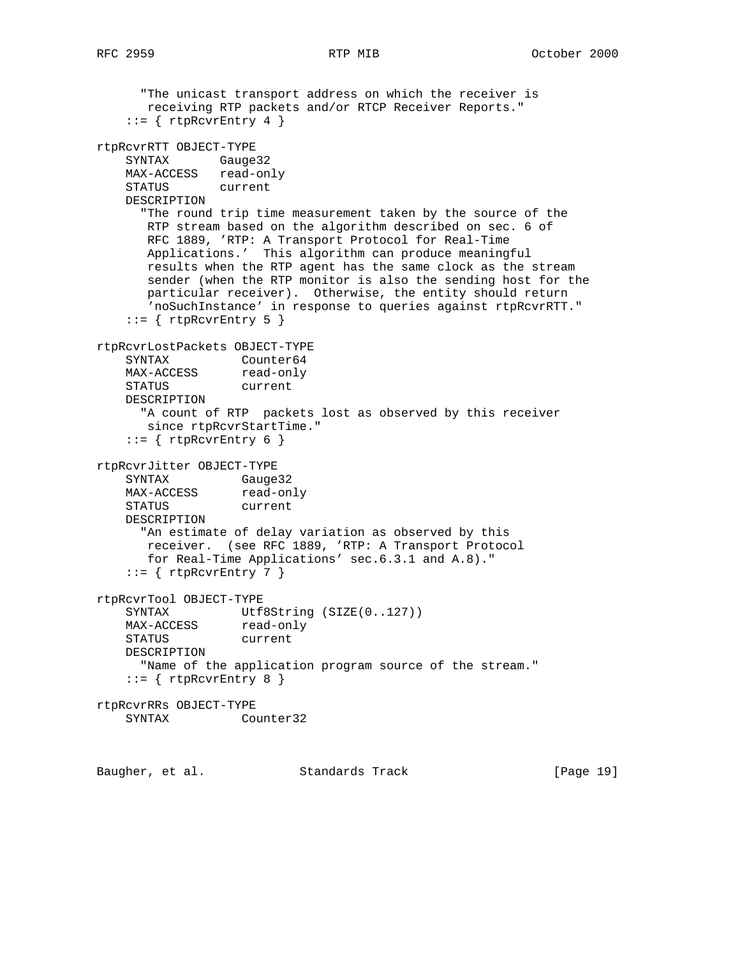"The unicast transport address on which the receiver is receiving RTP packets and/or RTCP Receiver Reports."  $::=$  { rtpRcvrEntry 4 } rtpRcvrRTT OBJECT-TYPE SYNTAX Gauge32 MAX-ACCESS read-only STATUS current DESCRIPTION "The round trip time measurement taken by the source of the RTP stream based on the algorithm described on sec. 6 of RFC 1889, 'RTP: A Transport Protocol for Real-Time Applications.' This algorithm can produce meaningful results when the RTP agent has the same clock as the stream sender (when the RTP monitor is also the sending host for the particular receiver). Otherwise, the entity should return 'noSuchInstance' in response to queries against rtpRcvrRTT."  $::=$  { rtpRcvrEntry 5 } rtpRcvrLostPackets OBJECT-TYPE SYNTAX Counter64 MAX-ACCESS read-only STATUS current DESCRIPTION "A count of RTP packets lost as observed by this receiver since rtpRcvrStartTime."  $::=$  { rtpRcvrEntry 6 } rtpRcvrJitter OBJECT-TYPE SYNTAX Gauge32 MAX-ACCESS read-only STATUS current DESCRIPTION "An estimate of delay variation as observed by this receiver. (see RFC 1889, 'RTP: A Transport Protocol for Real-Time Applications' sec.6.3.1 and A.8)."  $::=$  { rtpRcvrEntry 7 } rtpRcvrTool OBJECT-TYPE SYNTAX Utf8String (SIZE(0..127)) MAX-ACCESS read-only STATUS current DESCRIPTION "Name of the application program source of the stream."  $::=$  { rtpRcvrEntry 8 } rtpRcvrRRs OBJECT-TYPE SYNTAX Counter32

Baugher, et al. Standards Track [Page 19]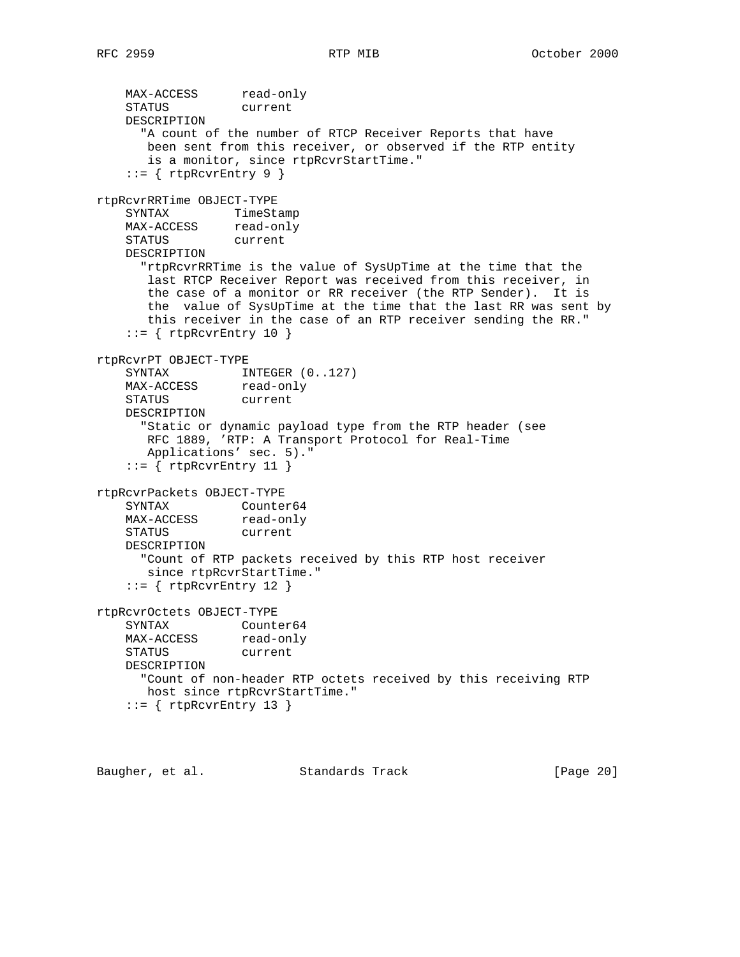MAX-ACCESS read-only STATUS current DESCRIPTION "A count of the number of RTCP Receiver Reports that have been sent from this receiver, or observed if the RTP entity is a monitor, since rtpRcvrStartTime."  $::=$  { rtpRcvrEntry 9 } rtpRcvrRRTime OBJECT-TYPE SYNTAX TimeStamp MAX-ACCESS read-only STATUS current DESCRIPTION "rtpRcvrRRTime is the value of SysUpTime at the time that the last RTCP Receiver Report was received from this receiver, in the case of a monitor or RR receiver (the RTP Sender). It is the value of SysUpTime at the time that the last RR was sent by this receiver in the case of an RTP receiver sending the RR."  $::=$  { rtpRcvrEntry 10 } rtpRcvrPT OBJECT-TYPE SYNTAX INTEGER  $(0..127)$ MAX-ACCESS read-only STATUS current DESCRIPTION "Static or dynamic payload type from the RTP header (see RFC 1889, 'RTP: A Transport Protocol for Real-Time Applications' sec. 5)."  $::=$  { rtpRcvrEntry 11 } rtpRcvrPackets OBJECT-TYPE SYNTAX Counter64 MAX-ACCESS read-only STATUS current DESCRIPTION "Count of RTP packets received by this RTP host receiver since rtpRcvrStartTime."  $::=$  { rtpRcvrEntry 12 } rtpRcvrOctets OBJECT-TYPE SYNTAX Counter64<br>MAX-ACCESS read-only SININGS<br>MAX-ACCESS STATUS current DESCRIPTION "Count of non-header RTP octets received by this receiving RTP host since rtpRcvrStartTime."  $::=$  { rtpRcvrEntry 13 }

Baugher, et al. Standards Track [Page 20]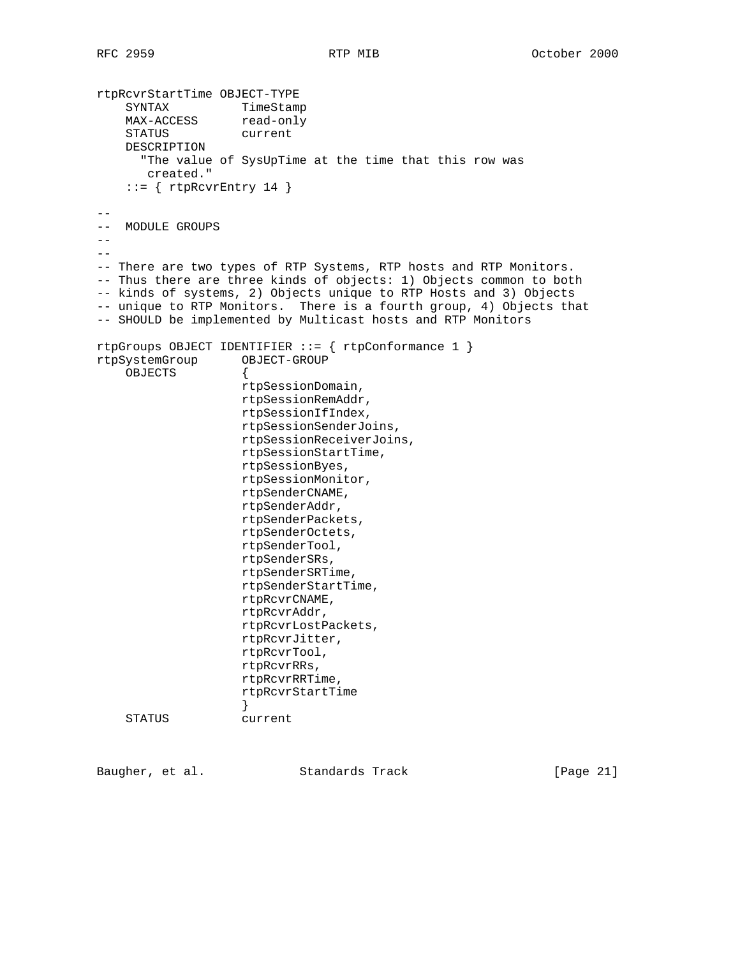```
rtpRcvrStartTime OBJECT-TYPE
SYNTAX TimeStamp
MAX-ACCESS read-only
 STATUS current
    DESCRIPTION
      "The value of SysUpTime at the time that this row was
       created."
    ::= { rtpRcvrEntry 14 }
--
-- MODULE GROUPS
---- There are two types of RTP Systems, RTP hosts and RTP Monitors.
-- Thus there are three kinds of objects: 1) Objects common to both
-- kinds of systems, 2) Objects unique to RTP Hosts and 3) Objects
-- unique to RTP Monitors. There is a fourth group, 4) Objects that
-- SHOULD be implemented by Multicast hosts and RTP Monitors
rtpGroups OBJECT IDENTIFIER ::= { rtpConformance 1 }
rtpSystemGroup OBJECT-GROUP
    OBJECTS {
                   rtpSessionDomain,
                    rtpSessionRemAddr,
                    rtpSessionIfIndex,
                    rtpSessionSenderJoins,
                    rtpSessionReceiverJoins,
                    rtpSessionStartTime,
                    rtpSessionByes,
                    rtpSessionMonitor,
                    rtpSenderCNAME,
                    rtpSenderAddr,
                    rtpSenderPackets,
                    rtpSenderOctets,
                    rtpSenderTool,
                    rtpSenderSRs,
                    rtpSenderSRTime,
                    rtpSenderStartTime,
                    rtpRcvrCNAME,
                    rtpRcvrAddr,
                    rtpRcvrLostPackets,
                    rtpRcvrJitter,
                    rtpRcvrTool,
                    rtpRcvrRRs,
                    rtpRcvrRRTime,
                    rtpRcvrStartTime
 }
     STATUS current
```
Baugher, et al. Standards Track [Page 21]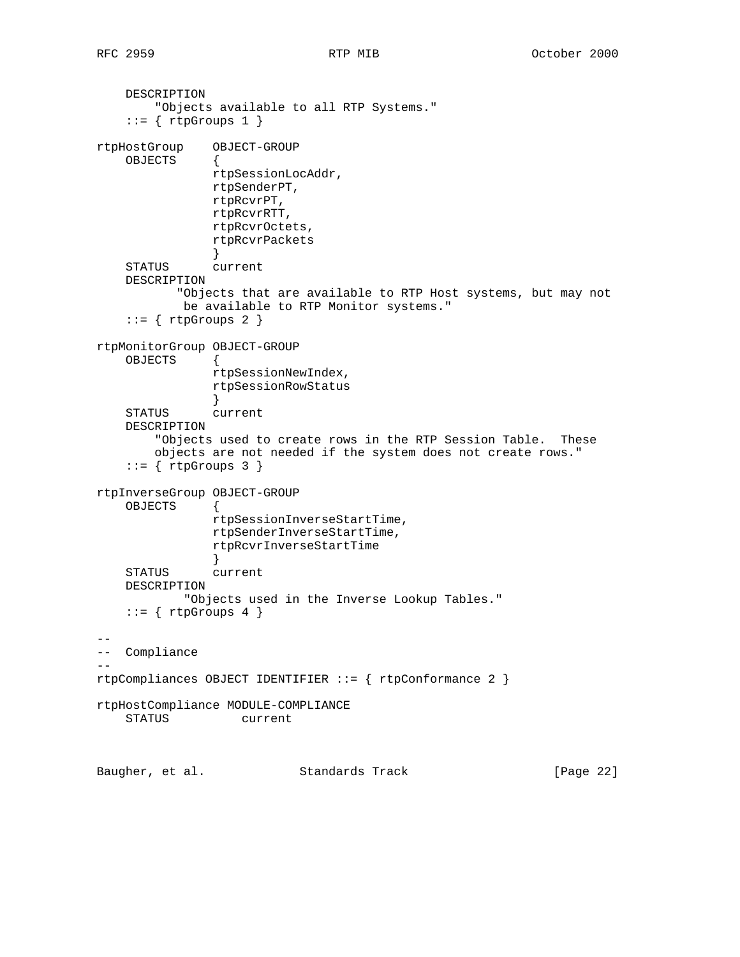DESCRIPTION "Objects available to all RTP Systems."  $::=$  { rtpGroups 1 } rtpHostGroup OBJECT-GROUP OBJECTS { rtpSessionLocAddr, rtpSenderPT, rtpRcvrPT, rtpRcvrRTT, rtpRcvrOctets, rtpRcvrPackets } STATUS current DESCRIPTION "Objects that are available to RTP Host systems, but may not be available to RTP Monitor systems."  $::=$  { rtpGroups 2 } rtpMonitorGroup OBJECT-GROUP OBJECTS { rtpSessionNewIndex, rtpSessionRowStatus } STATUS current DESCRIPTION "Objects used to create rows in the RTP Session Table. These objects are not needed if the system does not create rows."  $::=$  { rtpGroups 3 } rtpInverseGroup OBJECT-GROUP OBJECTS { rtpSessionInverseStartTime, rtpSenderInverseStartTime, rtpRcvrInverseStartTime } STATUS current DESCRIPTION "Objects used in the Inverse Lookup Tables."  $::=$  { rtpGroups 4 } -- -- Compliance  $$ rtpCompliances OBJECT IDENTIFIER ::= { rtpConformance 2 } rtpHostCompliance MODULE-COMPLIANCE STATUS current Baugher, et al. Standards Track [Page 22]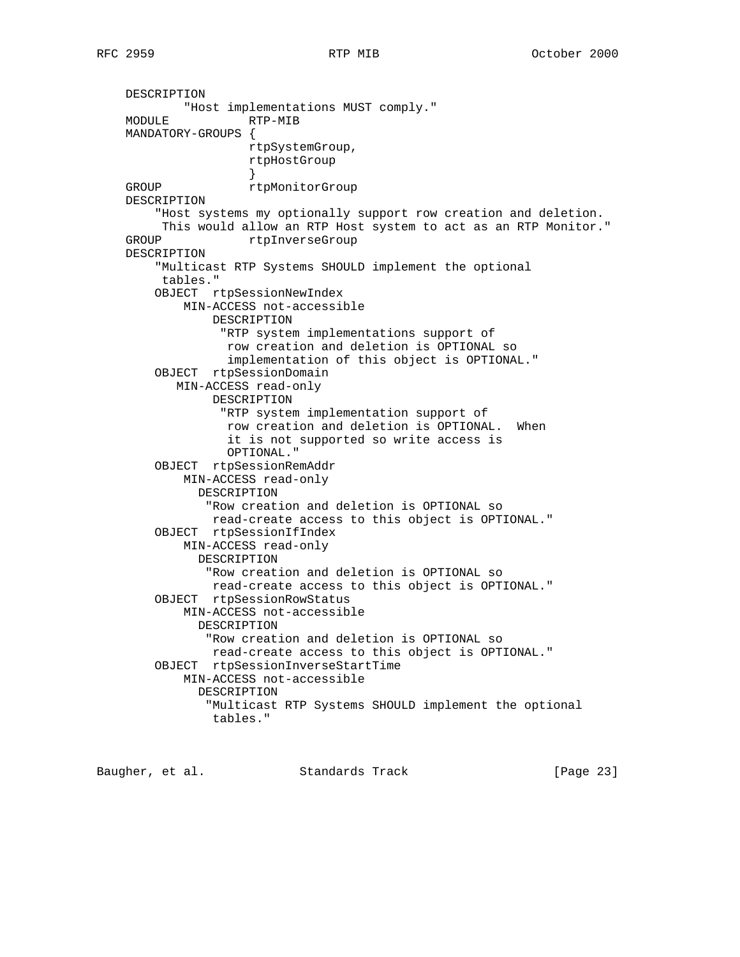DESCRIPTION "Host implementations MUST comply." RTP-MIB MANDATORY-GROUPS { rtpSystemGroup, rtpHostGroup } GROUP rtpMonitorGroup DESCRIPTION "Host systems my optionally support row creation and deletion. This would allow an RTP Host system to act as an RTP Monitor." GROUP rtpInverseGroup DESCRIPTION "Multicast RTP Systems SHOULD implement the optional tables." OBJECT rtpSessionNewIndex MIN-ACCESS not-accessible DESCRIPTION "RTP system implementations support of row creation and deletion is OPTIONAL so implementation of this object is OPTIONAL." OBJECT rtpSessionDomain MIN-ACCESS read-only DESCRIPTION "RTP system implementation support of row creation and deletion is OPTIONAL. When it is not supported so write access is OPTIONAL." OBJECT rtpSessionRemAddr MIN-ACCESS read-only DESCRIPTION "Row creation and deletion is OPTIONAL so read-create access to this object is OPTIONAL." OBJECT rtpSessionIfIndex MIN-ACCESS read-only DESCRIPTION "Row creation and deletion is OPTIONAL so read-create access to this object is OPTIONAL." OBJECT rtpSessionRowStatus MIN-ACCESS not-accessible DESCRIPTION "Row creation and deletion is OPTIONAL so read-create access to this object is OPTIONAL." OBJECT rtpSessionInverseStartTime MIN-ACCESS not-accessible DESCRIPTION "Multicast RTP Systems SHOULD implement the optional tables."

Baugher, et al. Standards Track [Page 23]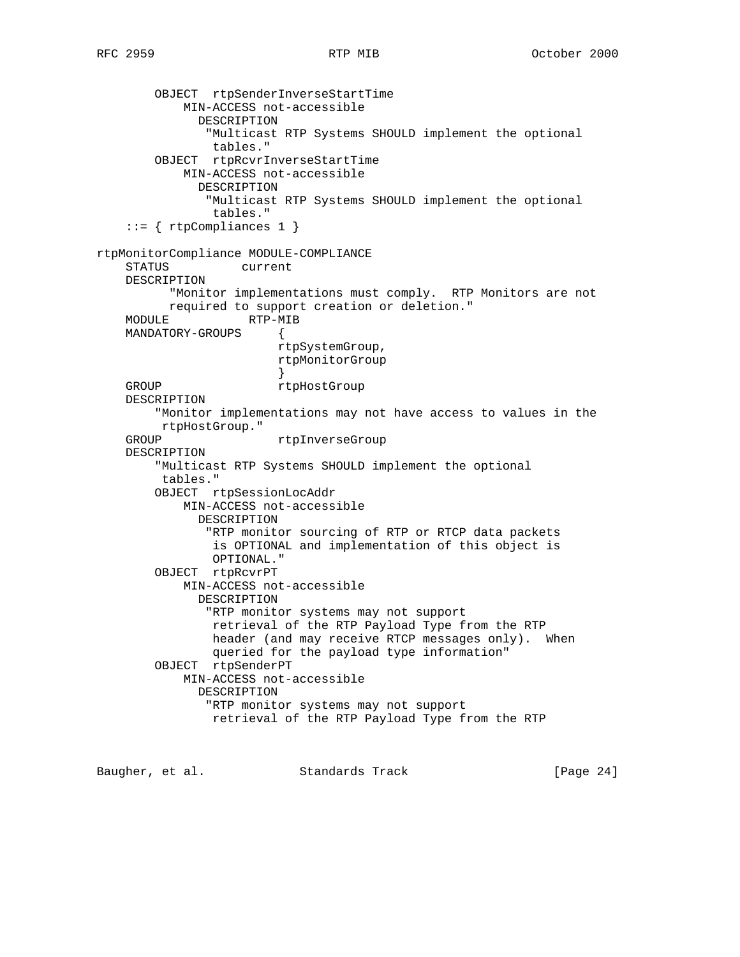```
 OBJECT rtpSenderInverseStartTime
            MIN-ACCESS not-accessible
              DESCRIPTION
                "Multicast RTP Systems SHOULD implement the optional
                tables."
        OBJECT rtpRcvrInverseStartTime
            MIN-ACCESS not-accessible
              DESCRIPTION
               "Multicast RTP Systems SHOULD implement the optional
                tables."
    ::= { rtpCompliances 1 }
rtpMonitorCompliance MODULE-COMPLIANCE
    STATUS current
    DESCRIPTION
          "Monitor implementations must comply. RTP Monitors are not
          required to support creation or deletion."
   MODULE RTP-MIB
    MANDATORY-GROUPS {
                         rtpSystemGroup,
                         rtpMonitorGroup
 }
   GROUP rtpHostGroup
    DESCRIPTION
         "Monitor implementations may not have access to values in the
         rtpHostGroup."
   GROUP rtpInverseGroup
    DESCRIPTION
         "Multicast RTP Systems SHOULD implement the optional
         tables."
        OBJECT rtpSessionLocAddr
            MIN-ACCESS not-accessible
              DESCRIPTION
               "RTP monitor sourcing of RTP or RTCP data packets
                is OPTIONAL and implementation of this object is
                OPTIONAL."
        OBJECT rtpRcvrPT
            MIN-ACCESS not-accessible
              DESCRIPTION
               "RTP monitor systems may not support
                retrieval of the RTP Payload Type from the RTP
                header (and may receive RTCP messages only). When
                queried for the payload type information"
        OBJECT rtpSenderPT
            MIN-ACCESS not-accessible
              DESCRIPTION
               "RTP monitor systems may not support
                retrieval of the RTP Payload Type from the RTP
```
Baugher, et al. Standards Track [Page 24]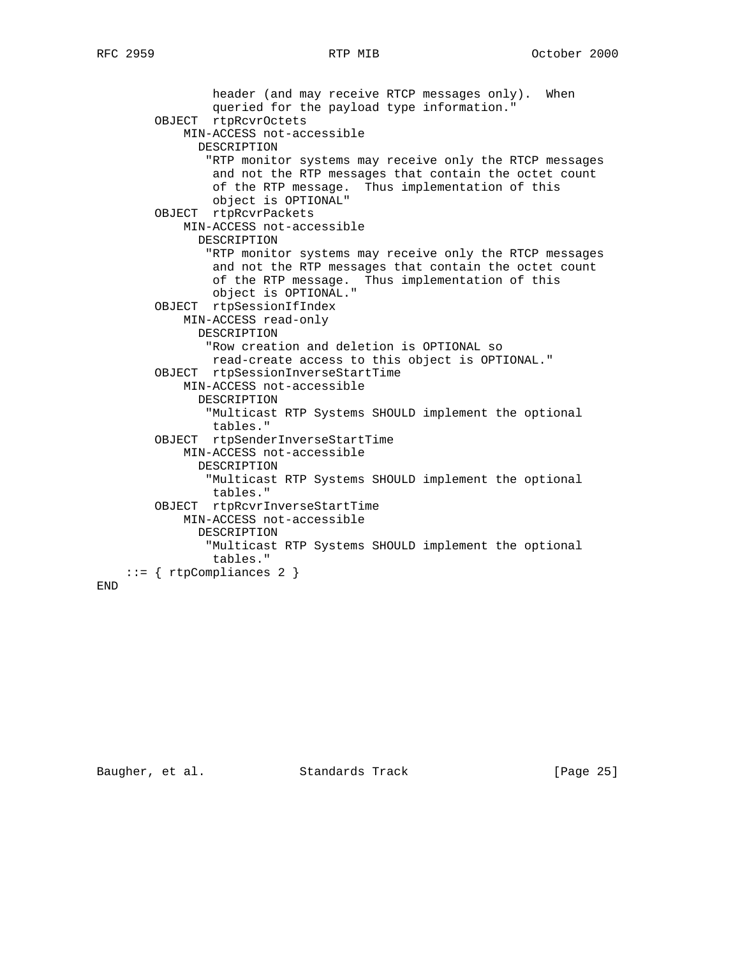```
 header (and may receive RTCP messages only). When
             queried for the payload type information."
     OBJECT rtpRcvrOctets
        MIN-ACCESS not-accessible
           DESCRIPTION
            "RTP monitor systems may receive only the RTCP messages
             and not the RTP messages that contain the octet count
             of the RTP message. Thus implementation of this
             object is OPTIONAL"
     OBJECT rtpRcvrPackets
        MIN-ACCESS not-accessible
           DESCRIPTION
            "RTP monitor systems may receive only the RTCP messages
             and not the RTP messages that contain the octet count
             of the RTP message. Thus implementation of this
             object is OPTIONAL."
     OBJECT rtpSessionIfIndex
        MIN-ACCESS read-only
          DESCRIPTION
            "Row creation and deletion is OPTIONAL so
            read-create access to this object is OPTIONAL."
     OBJECT rtpSessionInverseStartTime
        MIN-ACCESS not-accessible
           DESCRIPTION
            "Multicast RTP Systems SHOULD implement the optional
             tables."
     OBJECT rtpSenderInverseStartTime
         MIN-ACCESS not-accessible
           DESCRIPTION
            "Multicast RTP Systems SHOULD implement the optional
             tables."
     OBJECT rtpRcvrInverseStartTime
        MIN-ACCESS not-accessible
           DESCRIPTION
            "Multicast RTP Systems SHOULD implement the optional
             tables."
 ::= { rtpCompliances 2 }
```
END

Baugher, et al. Standards Track [Page 25]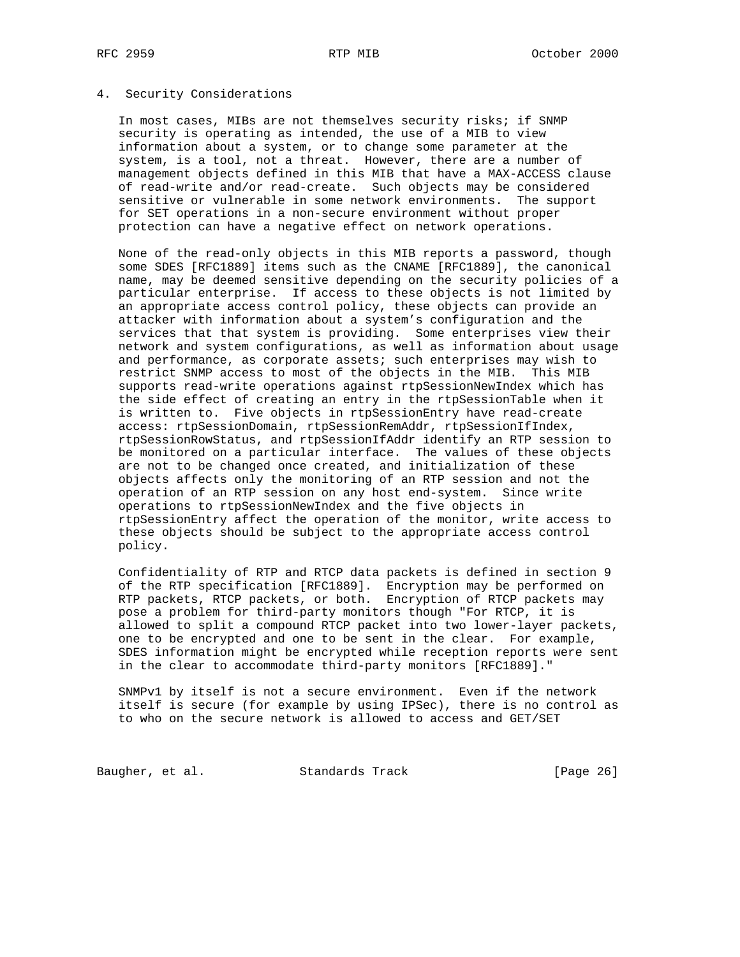## 4. Security Considerations

 In most cases, MIBs are not themselves security risks; if SNMP security is operating as intended, the use of a MIB to view information about a system, or to change some parameter at the system, is a tool, not a threat. However, there are a number of management objects defined in this MIB that have a MAX-ACCESS clause of read-write and/or read-create. Such objects may be considered sensitive or vulnerable in some network environments. The support for SET operations in a non-secure environment without proper protection can have a negative effect on network operations.

 None of the read-only objects in this MIB reports a password, though some SDES [RFC1889] items such as the CNAME [RFC1889], the canonical name, may be deemed sensitive depending on the security policies of a particular enterprise. If access to these objects is not limited by an appropriate access control policy, these objects can provide an attacker with information about a system's configuration and the services that that system is providing. Some enterprises view their network and system configurations, as well as information about usage and performance, as corporate assets; such enterprises may wish to restrict SNMP access to most of the objects in the MIB. This MIB supports read-write operations against rtpSessionNewIndex which has the side effect of creating an entry in the rtpSessionTable when it is written to. Five objects in rtpSessionEntry have read-create access: rtpSessionDomain, rtpSessionRemAddr, rtpSessionIfIndex, rtpSessionRowStatus, and rtpSessionIfAddr identify an RTP session to be monitored on a particular interface. The values of these objects are not to be changed once created, and initialization of these objects affects only the monitoring of an RTP session and not the operation of an RTP session on any host end-system. Since write operations to rtpSessionNewIndex and the five objects in rtpSessionEntry affect the operation of the monitor, write access to these objects should be subject to the appropriate access control policy.

 Confidentiality of RTP and RTCP data packets is defined in section 9 of the RTP specification [RFC1889]. Encryption may be performed on RTP packets, RTCP packets, or both. Encryption of RTCP packets may pose a problem for third-party monitors though "For RTCP, it is allowed to split a compound RTCP packet into two lower-layer packets, one to be encrypted and one to be sent in the clear. For example, SDES information might be encrypted while reception reports were sent in the clear to accommodate third-party monitors [RFC1889]."

 SNMPv1 by itself is not a secure environment. Even if the network itself is secure (for example by using IPSec), there is no control as to who on the secure network is allowed to access and GET/SET

Baugher, et al. Standards Track [Page 26]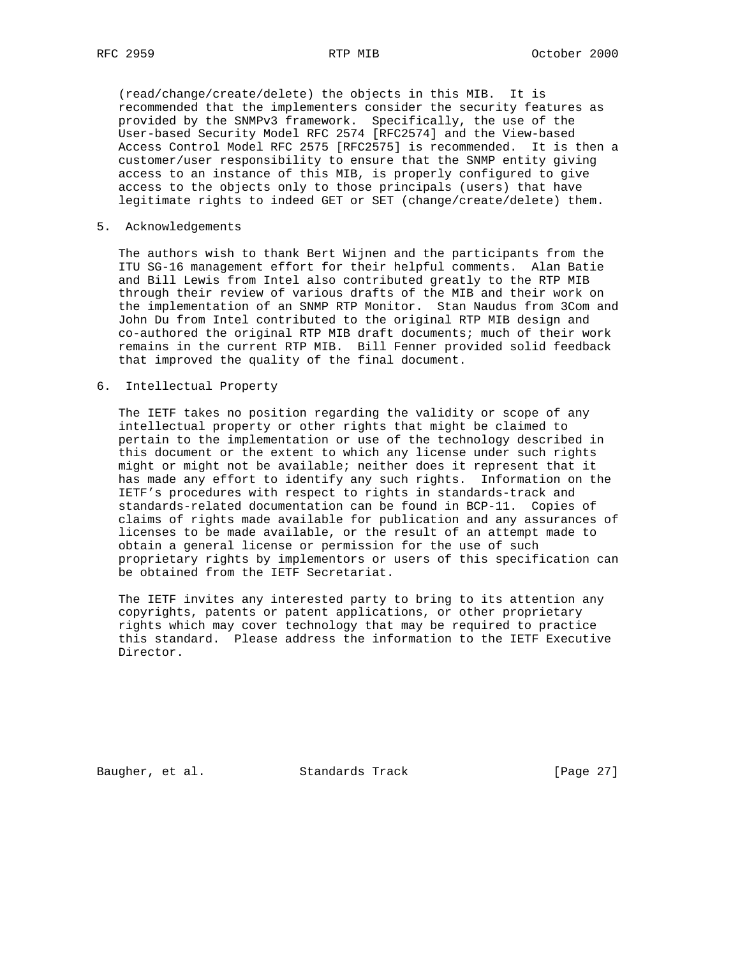(read/change/create/delete) the objects in this MIB. It is recommended that the implementers consider the security features as provided by the SNMPv3 framework. Specifically, the use of the User-based Security Model RFC 2574 [RFC2574] and the View-based Access Control Model RFC 2575 [RFC2575] is recommended. It is then a customer/user responsibility to ensure that the SNMP entity giving access to an instance of this MIB, is properly configured to give access to the objects only to those principals (users) that have legitimate rights to indeed GET or SET (change/create/delete) them.

5. Acknowledgements

 The authors wish to thank Bert Wijnen and the participants from the ITU SG-16 management effort for their helpful comments. Alan Batie and Bill Lewis from Intel also contributed greatly to the RTP MIB through their review of various drafts of the MIB and their work on the implementation of an SNMP RTP Monitor. Stan Naudus from 3Com and John Du from Intel contributed to the original RTP MIB design and co-authored the original RTP MIB draft documents; much of their work remains in the current RTP MIB. Bill Fenner provided solid feedback that improved the quality of the final document.

6. Intellectual Property

 The IETF takes no position regarding the validity or scope of any intellectual property or other rights that might be claimed to pertain to the implementation or use of the technology described in this document or the extent to which any license under such rights might or might not be available; neither does it represent that it has made any effort to identify any such rights. Information on the IETF's procedures with respect to rights in standards-track and standards-related documentation can be found in BCP-11. Copies of claims of rights made available for publication and any assurances of licenses to be made available, or the result of an attempt made to obtain a general license or permission for the use of such proprietary rights by implementors or users of this specification can be obtained from the IETF Secretariat.

 The IETF invites any interested party to bring to its attention any copyrights, patents or patent applications, or other proprietary rights which may cover technology that may be required to practice this standard. Please address the information to the IETF Executive Director.

Baugher, et al. Standards Track [Page 27]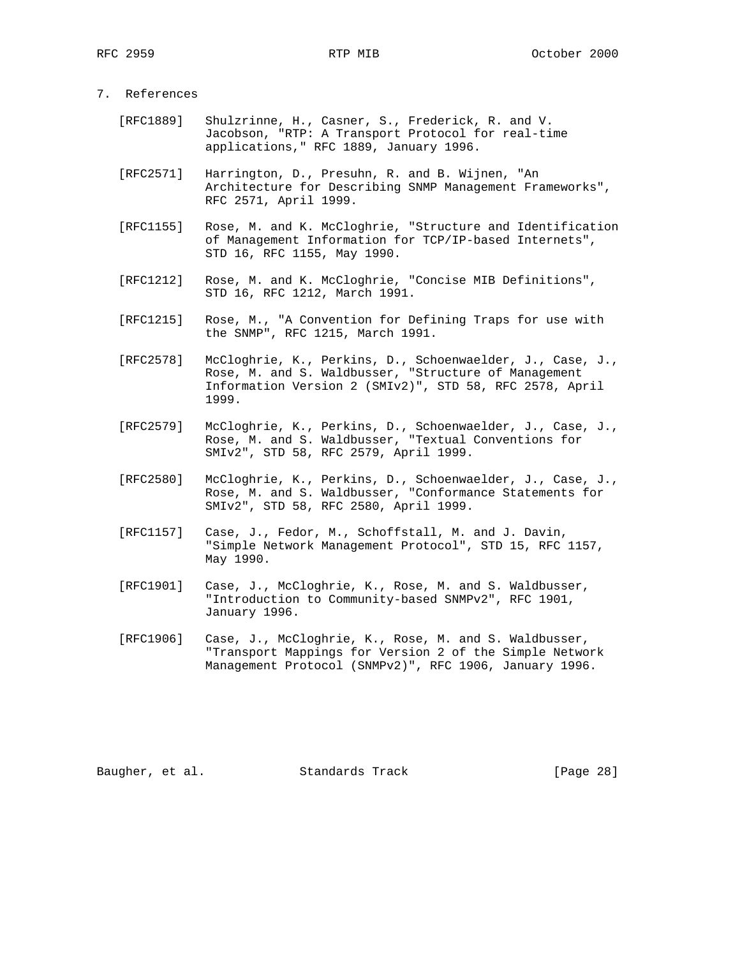# 7. References

- [RFC1889] Shulzrinne, H., Casner, S., Frederick, R. and V. Jacobson, "RTP: A Transport Protocol for real-time applications," RFC 1889, January 1996.
- [RFC2571] Harrington, D., Presuhn, R. and B. Wijnen, "An Architecture for Describing SNMP Management Frameworks", RFC 2571, April 1999.
- [RFC1155] Rose, M. and K. McCloghrie, "Structure and Identification of Management Information for TCP/IP-based Internets", STD 16, RFC 1155, May 1990.
- [RFC1212] Rose, M. and K. McCloghrie, "Concise MIB Definitions", STD 16, RFC 1212, March 1991.
- [RFC1215] Rose, M., "A Convention for Defining Traps for use with the SNMP", RFC 1215, March 1991.
- [RFC2578] McCloghrie, K., Perkins, D., Schoenwaelder, J., Case, J., Rose, M. and S. Waldbusser, "Structure of Management Information Version 2 (SMIv2)", STD 58, RFC 2578, April 1999.
- [RFC2579] McCloghrie, K., Perkins, D., Schoenwaelder, J., Case, J., Rose, M. and S. Waldbusser, "Textual Conventions for SMIv2", STD 58, RFC 2579, April 1999.
	- [RFC2580] McCloghrie, K., Perkins, D., Schoenwaelder, J., Case, J., Rose, M. and S. Waldbusser, "Conformance Statements for SMIv2", STD 58, RFC 2580, April 1999.
	- [RFC1157] Case, J., Fedor, M., Schoffstall, M. and J. Davin, "Simple Network Management Protocol", STD 15, RFC 1157, May 1990.
	- [RFC1901] Case, J., McCloghrie, K., Rose, M. and S. Waldbusser, "Introduction to Community-based SNMPv2", RFC 1901, January 1996.
	- [RFC1906] Case, J., McCloghrie, K., Rose, M. and S. Waldbusser, "Transport Mappings for Version 2 of the Simple Network Management Protocol (SNMPv2)", RFC 1906, January 1996.

Baugher, et al. Standards Track [Page 28]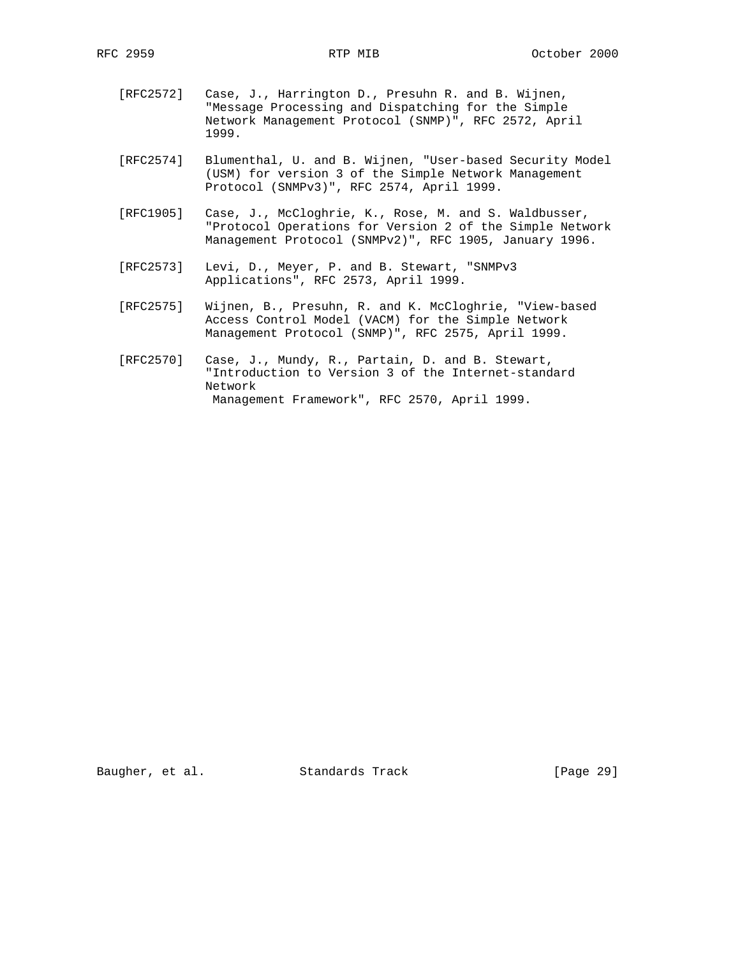- [RFC2572] Case, J., Harrington D., Presuhn R. and B. Wijnen, "Message Processing and Dispatching for the Simple Network Management Protocol (SNMP)", RFC 2572, April 1999.
- [RFC2574] Blumenthal, U. and B. Wijnen, "User-based Security Model (USM) for version 3 of the Simple Network Management Protocol (SNMPv3)", RFC 2574, April 1999.
- [RFC1905] Case, J., McCloghrie, K., Rose, M. and S. Waldbusser, "Protocol Operations for Version 2 of the Simple Network Management Protocol (SNMPv2)", RFC 1905, January 1996.
- [RFC2573] Levi, D., Meyer, P. and B. Stewart, "SNMPv3 Applications", RFC 2573, April 1999.
- [RFC2575] Wijnen, B., Presuhn, R. and K. McCloghrie, "View-based Access Control Model (VACM) for the Simple Network Management Protocol (SNMP)", RFC 2575, April 1999.
- [RFC2570] Case, J., Mundy, R., Partain, D. and B. Stewart, "Introduction to Version 3 of the Internet-standard Network Management Framework", RFC 2570, April 1999.

Baugher, et al. Standards Track [Page 29]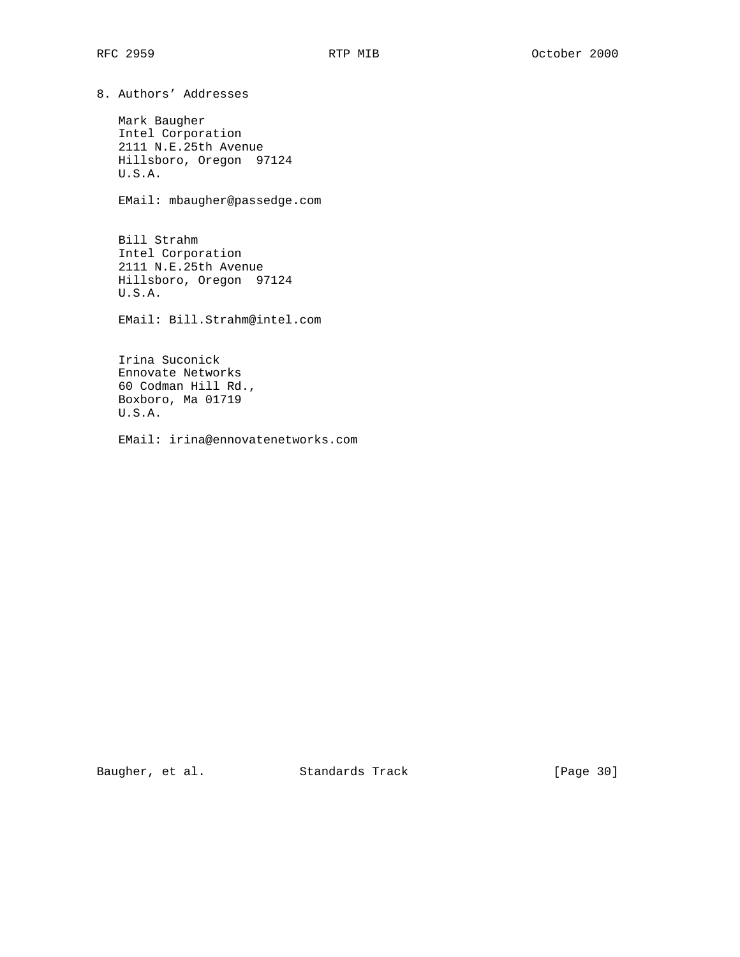8. Authors' Addresses

 Mark Baugher Intel Corporation 2111 N.E.25th Avenue Hillsboro, Oregon 97124 U.S.A.

EMail: mbaugher@passedge.com

 Bill Strahm Intel Corporation 2111 N.E.25th Avenue Hillsboro, Oregon 97124 U.S.A.

EMail: Bill.Strahm@intel.com

 Irina Suconick Ennovate Networks 60 Codman Hill Rd., Boxboro, Ma 01719 U.S.A.

EMail: irina@ennovatenetworks.com

Baugher, et al. Standards Track [Page 30]